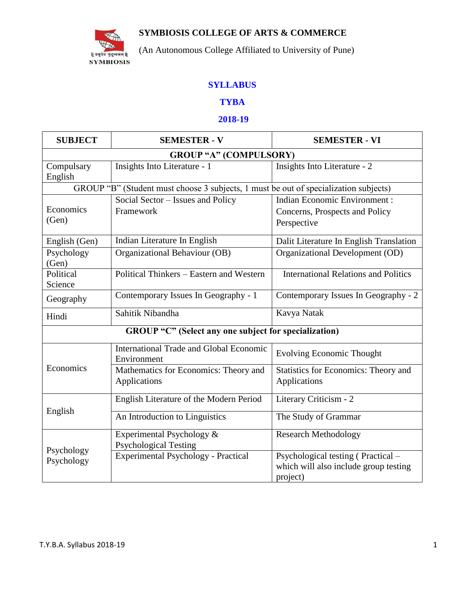

## **SYMBIOSIS COLLEGE OF ARTS & COMMERCE**

(An Autonomous College Affiliated to University of Pune)

## **SYLLABUS**

## **TYBA**

### **2018-19**

| <b>SUBJECT</b>                                                                       | <b>SEMESTER - V</b>                                           | <b>SEMESTER - VI</b>                                                                    |  |  |
|--------------------------------------------------------------------------------------|---------------------------------------------------------------|-----------------------------------------------------------------------------------------|--|--|
| <b>GROUP "A" (COMPULSORY)</b>                                                        |                                                               |                                                                                         |  |  |
| Compulsary<br>English                                                                | Insights Into Literature - 1                                  | Insights Into Literature - 2                                                            |  |  |
| GROUP "B" (Student must choose 3 subjects, 1 must be out of specialization subjects) |                                                               |                                                                                         |  |  |
| Economics<br>(Gen)                                                                   | Social Sector - Issues and Policy<br>Framework                | <b>Indian Economic Environment:</b><br>Concerns, Prospects and Policy<br>Perspective    |  |  |
| English (Gen)                                                                        | Indian Literature In English                                  | Dalit Literature In English Translation                                                 |  |  |
| Psychology<br>(Gen)                                                                  | Organizational Behaviour (OB)                                 | Organizational Development (OD)                                                         |  |  |
| Political<br>Science                                                                 | Political Thinkers - Eastern and Western                      | <b>International Relations and Politics</b>                                             |  |  |
| Geography                                                                            | Contemporary Issues In Geography - 1                          | Contemporary Issues In Geography - 2                                                    |  |  |
| Hindi                                                                                | Sahitik Nibandha                                              | Kavya Natak                                                                             |  |  |
|                                                                                      | GROUP "C" (Select any one subject for specialization)         |                                                                                         |  |  |
|                                                                                      | <b>International Trade and Global Economic</b><br>Environment | <b>Evolving Economic Thought</b>                                                        |  |  |
| Economics                                                                            | Mathematics for Economics: Theory and<br>Applications         | <b>Statistics for Economics: Theory and</b><br>Applications                             |  |  |
|                                                                                      | English Literature of the Modern Period                       | Literary Criticism - 2                                                                  |  |  |
| English                                                                              | An Introduction to Linguistics                                | The Study of Grammar                                                                    |  |  |
| Psychology                                                                           | Experimental Psychology &<br><b>Psychological Testing</b>     | <b>Research Methodology</b>                                                             |  |  |
| Psychology                                                                           | Experimental Psychology - Practical                           | Psychological testing (Practical –<br>which will also include group testing<br>project) |  |  |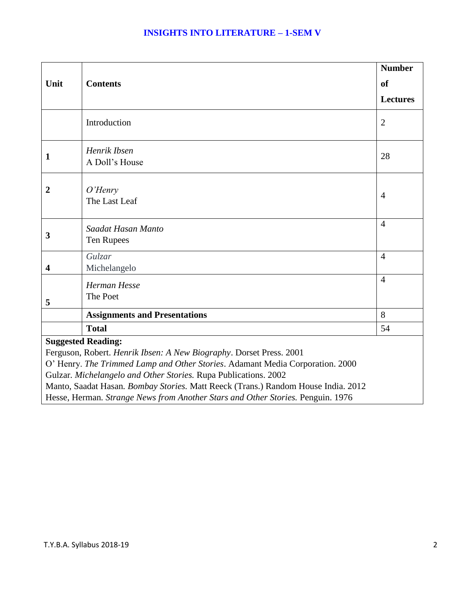|                                                                                                                                                       |                                      | <b>Number</b>   |
|-------------------------------------------------------------------------------------------------------------------------------------------------------|--------------------------------------|-----------------|
| Unit                                                                                                                                                  | <b>Contents</b>                      | <sub>of</sub>   |
|                                                                                                                                                       |                                      | <b>Lectures</b> |
|                                                                                                                                                       | Introduction                         | $\overline{2}$  |
| $\mathbf{1}$                                                                                                                                          | Henrik Ibsen<br>A Doll's House       | 28              |
| $\overline{2}$                                                                                                                                        | O'Henry<br>The Last Leaf             | $\overline{4}$  |
| 3                                                                                                                                                     | Saadat Hasan Manto<br>Ten Rupees     | $\overline{4}$  |
| $\overline{\mathbf{4}}$                                                                                                                               | <b>Gulzar</b><br>Michelangelo        | $\overline{4}$  |
| 5                                                                                                                                                     | <b>Herman Hesse</b><br>The Poet      | $\overline{4}$  |
|                                                                                                                                                       | <b>Assignments and Presentations</b> | 8               |
|                                                                                                                                                       | <b>Total</b>                         | 54              |
| <b>Suggested Reading:</b>                                                                                                                             |                                      |                 |
| Ferguson, Robert. Henrik Ibsen: A New Biography. Dorset Press. 2001                                                                                   |                                      |                 |
| O' Henry. The Trimmed Lamp and Other Stories. Adamant Media Corporation. 2000                                                                         |                                      |                 |
| Gulzar. Michelangelo and Other Stories. Rupa Publications. 2002.<br>Manto, Saadat Hasan. Bombay Stories. Matt Reeck (Trans.) Random House India. 2012 |                                      |                 |
| Hesse, Herman. Strange News from Another Stars and Other Stories. Penguin. 1976                                                                       |                                      |                 |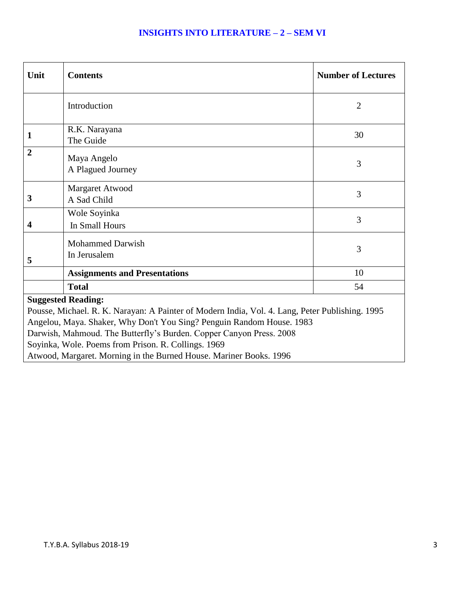## **INSIGHTS INTO LITERATURE – 2 – SEM VI**

| Unit                                                                                                                       | <b>Contents</b>                                                    | <b>Number of Lectures</b> |
|----------------------------------------------------------------------------------------------------------------------------|--------------------------------------------------------------------|---------------------------|
|                                                                                                                            | Introduction                                                       | $\overline{2}$            |
| 1                                                                                                                          | R.K. Narayana<br>The Guide                                         | 30                        |
| $\overline{2}$                                                                                                             | Maya Angelo<br>A Plagued Journey                                   | 3                         |
| 3                                                                                                                          | Margaret Atwood<br>A Sad Child                                     | 3                         |
| $\overline{\mathbf{4}}$                                                                                                    | Wole Soyinka<br>In Small Hours                                     | 3                         |
| 5                                                                                                                          | <b>Mohammed Darwish</b><br>In Jerusalem                            | 3                         |
|                                                                                                                            | <b>Assignments and Presentations</b>                               | 10                        |
|                                                                                                                            | <b>Total</b>                                                       | 54                        |
| <b>Suggested Reading:</b>                                                                                                  |                                                                    |                           |
| Pousse, Michael. R. K. Narayan: A Painter of Modern India, Vol. 4. Lang, Peter Publishing. 1995                            |                                                                    |                           |
| Angelou, Maya. Shaker, Why Don't You Sing? Penguin Random House. 1983                                                      |                                                                    |                           |
| Darwish, Mahmoud. The Butterfly's Burden. Copper Canyon Press. 2008<br>Soyinka, Wole. Poems from Prison. R. Collings. 1969 |                                                                    |                           |
|                                                                                                                            | Atwood, Margaret. Morning in the Burned House. Mariner Books. 1996 |                           |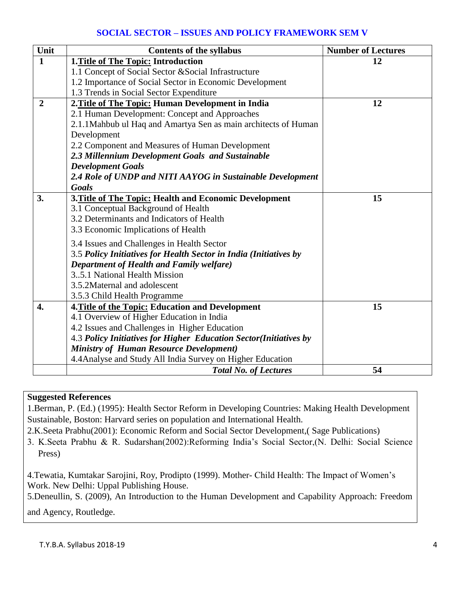## **SOCIAL SECTOR – ISSUES AND POLICY FRAMEWORK SEM V**

| Unit           | <b>Contents of the syllabus</b>                                   | <b>Number of Lectures</b> |
|----------------|-------------------------------------------------------------------|---------------------------|
| $\mathbf{1}$   | 1. Title of The Topic: Introduction                               | 12                        |
|                | 1.1 Concept of Social Sector & Social Infrastructure              |                           |
|                | 1.2 Importance of Social Sector in Economic Development           |                           |
|                | 1.3 Trends in Social Sector Expenditure                           |                           |
| $\overline{2}$ | 2. Title of The Topic: Human Development in India                 | 12                        |
|                | 2.1 Human Development: Concept and Approaches                     |                           |
|                | 2.1.1 Mahbub ul Haq and Amartya Sen as main architects of Human   |                           |
|                | Development                                                       |                           |
|                | 2.2 Component and Measures of Human Development                   |                           |
|                | 2.3 Millennium Development Goals and Sustainable                  |                           |
|                | <b>Development Goals</b>                                          |                           |
|                | 2.4 Role of UNDP and NITI AAYOG in Sustainable Development        |                           |
|                | <b>Goals</b>                                                      |                           |
| 3.             | 3. Title of The Topic: Health and Economic Development            | 15                        |
|                | 3.1 Conceptual Background of Health                               |                           |
|                | 3.2 Determinants and Indicators of Health                         |                           |
|                | 3.3 Economic Implications of Health                               |                           |
|                | 3.4 Issues and Challenges in Health Sector                        |                           |
|                | 3.5 Policy Initiatives for Health Sector in India (Initiatives by |                           |
|                | <b>Department of Health and Family welfare)</b>                   |                           |
|                | 35.1 National Health Mission                                      |                           |
|                | 3.5.2Maternal and adolescent                                      |                           |
|                | 3.5.3 Child Health Programme                                      |                           |
| 4.             | 4. Title of the Topic: Education and Development                  | 15                        |
|                | 4.1 Overview of Higher Education in India                         |                           |
|                | 4.2 Issues and Challenges in Higher Education                     |                           |
|                | 4.3 Policy Initiatives for Higher Education Sector(Initiatives by |                           |
|                | <b>Ministry of Human Resource Development)</b>                    |                           |
|                | 4.4 Analyse and Study All India Survey on Higher Education        |                           |
|                | <b>Total No. of Lectures</b>                                      | 54                        |

### **Suggested References**

1.Berman, P. (Ed.) (1995): Health Sector Reform in Developing Countries: Making Health Development Sustainable, Boston: Harvard series on population and International Health.

2.K.Seeta Prabhu(2001): Economic Reform and Social Sector Development,( Sage Publications)

3. K.Seeta Prabhu & R. Sudarshan(2002):Reforming India's Social Sector,(N. Delhi: Social Science Press)

4.Tewatia, Kumtakar Sarojini, Roy, Prodipto (1999). Mother- Child Health: The Impact of Women's Work. New Delhi: Uppal Publishing House.

5.Deneullin, S. (2009), An Introduction to the Human Development and Capability Approach: Freedom

and Agency, Routledge.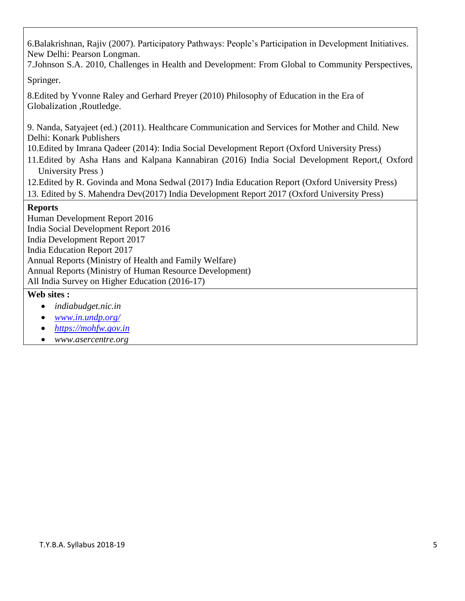6.Balakrishnan, Rajiv (2007). Participatory Pathways: People's Participation in Development Initiatives. New Delhi: Pearson Longman.

7.Johnson S.A. 2010, Challenges in Health and Development: From Global to Community Perspectives,

Springer.

8.Edited by Yvonne Raley and Gerhard Preyer (2010) Philosophy of Education in the Era of Globalization ,Routledge.

9. Nanda, Satyajeet (ed.) (2011). Healthcare Communication and Services for Mother and Child. New Delhi: Konark Publishers

- 10.Edited by Imrana Qadeer (2014): India Social Development Report (Oxford University Press)
- 11.Edited by Asha Hans and Kalpana Kannabiran (2016) India Social Development Report,( Oxford University Press )
- 12.Edited by R. Govinda and Mona Sedwal (2017) India Education Report (Oxford University Press)
- 13. Edited by S. Mahendra Dev(2017) India Development Report 2017 (Oxford University Press)

## **Reports**

Human Development Report 2016 India Social Development Report 2016 India Development Report 2017 India Education Report 2017 Annual Reports (Ministry of Health and Family Welfare) Annual Reports (Ministry of Human Resource Development) All India Survey on Higher Education (2016-17)

## **Web sites :**

- *indiabudget.nic.in*
- *[www.in.undp.org/](http://www.in.undp.org/)*
- *[https://mohfw.gov.in](https://mohfw.gov.in/)*
- *www.asercentre.org*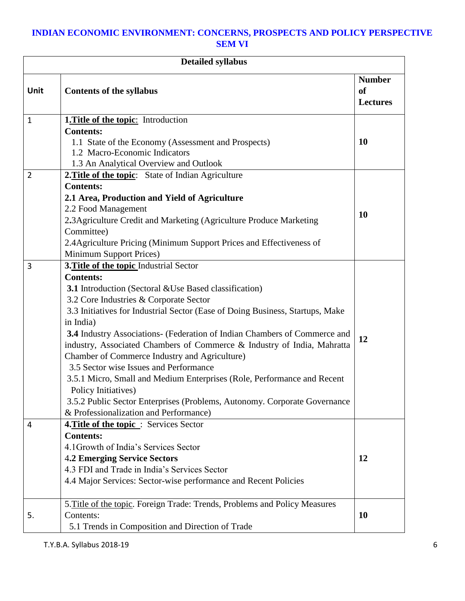## **INDIAN ECONOMIC ENVIRONMENT: CONCERNS, PROSPECTS AND POLICY PERSPECTIVE SEM VI**

| <b>Detailed syllabus</b> |                                                                               |                                                   |
|--------------------------|-------------------------------------------------------------------------------|---------------------------------------------------|
| Unit                     | <b>Contents of the syllabus</b>                                               | <b>Number</b><br><sub>of</sub><br><b>Lectures</b> |
| $\mathbf{1}$             | <b>1. Title of the topic:</b> Introduction                                    |                                                   |
|                          | <b>Contents:</b>                                                              |                                                   |
|                          | 1.1 State of the Economy (Assessment and Prospects)                           | <b>10</b>                                         |
|                          | 1.2 Macro-Economic Indicators                                                 |                                                   |
|                          | 1.3 An Analytical Overview and Outlook                                        |                                                   |
| $\overline{2}$           | 2. Title of the topic: State of Indian Agriculture                            |                                                   |
|                          | <b>Contents:</b>                                                              |                                                   |
|                          | 2.1 Area, Production and Yield of Agriculture                                 |                                                   |
|                          | 2.2 Food Management                                                           | 10                                                |
|                          | 2.3 Agriculture Credit and Marketing (Agriculture Produce Marketing           |                                                   |
|                          | Committee)                                                                    |                                                   |
|                          | 2.4 Agriculture Pricing (Minimum Support Prices and Effectiveness of          |                                                   |
|                          | <b>Minimum Support Prices)</b>                                                |                                                   |
| 3                        | 3. Title of the topic Industrial Sector                                       |                                                   |
|                          | <b>Contents:</b>                                                              |                                                   |
|                          | <b>3.1</b> Introduction (Sectoral & Use Based classification)                 |                                                   |
|                          | 3.2 Core Industries & Corporate Sector                                        |                                                   |
|                          | 3.3 Initiatives for Industrial Sector (Ease of Doing Business, Startups, Make |                                                   |
|                          | in India)                                                                     |                                                   |
|                          | 3.4 Industry Associations- (Federation of Indian Chambers of Commerce and     | 12                                                |
|                          | industry, Associated Chambers of Commerce & Industry of India, Mahratta       |                                                   |
|                          | Chamber of Commerce Industry and Agriculture)                                 |                                                   |
|                          | 3.5 Sector wise Issues and Performance                                        |                                                   |
|                          | 3.5.1 Micro, Small and Medium Enterprises (Role, Performance and Recent       |                                                   |
|                          | Policy Initiatives)                                                           |                                                   |
|                          | 3.5.2 Public Sector Enterprises (Problems, Autonomy. Corporate Governance     |                                                   |
|                          | & Professionalization and Performance)                                        |                                                   |
| 4                        | 4. Title of the topic: Services Sector                                        |                                                   |
|                          | <b>Contents:</b>                                                              |                                                   |
|                          | 4.1 Growth of India's Services Sector                                         |                                                   |
|                          | <b>4.2 Emerging Service Sectors</b>                                           | 12                                                |
|                          | 4.3 FDI and Trade in India's Services Sector                                  |                                                   |
|                          | 4.4 Major Services: Sector-wise performance and Recent Policies               |                                                   |
|                          | 5. Title of the topic. Foreign Trade: Trends, Problems and Policy Measures    |                                                   |
| 5.                       | Contents:                                                                     | 10                                                |
|                          | 5.1 Trends in Composition and Direction of Trade                              |                                                   |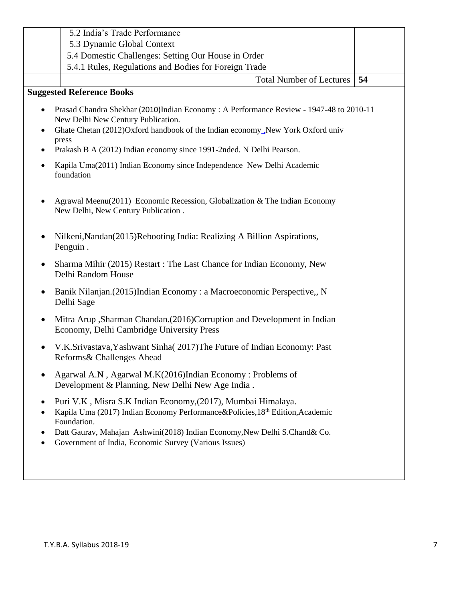|                        | 5.2 India's Trade Performance                                                                                                                                                                                 |    |
|------------------------|---------------------------------------------------------------------------------------------------------------------------------------------------------------------------------------------------------------|----|
|                        | 5.3 Dynamic Global Context                                                                                                                                                                                    |    |
|                        | 5.4 Domestic Challenges: Setting Our House in Order                                                                                                                                                           |    |
|                        | 5.4.1 Rules, Regulations and Bodies for Foreign Trade                                                                                                                                                         |    |
|                        | <b>Total Number of Lectures</b>                                                                                                                                                                               | 54 |
|                        | <b>Suggested Reference Books</b>                                                                                                                                                                              |    |
| $\bullet$<br>٠         | Prasad Chandra Shekhar (2010)Indian Economy: A Performance Review - 1947-48 to 2010-11<br>New Delhi New Century Publication.<br>Ghate Chetan (2012)Oxford handbook of the Indian economy_New York Oxford univ |    |
| ٠                      | press<br>Prakash B A (2012) Indian economy since 1991-2nded. N Delhi Pearson.                                                                                                                                 |    |
| $\bullet$              | Kapila Uma(2011) Indian Economy since Independence New Delhi Academic<br>foundation                                                                                                                           |    |
| $\bullet$              | Agrawal Meenu(2011) Economic Recession, Globalization & The Indian Economy<br>New Delhi, New Century Publication.                                                                                             |    |
|                        | Nilkeni, Nandan(2015) Rebooting India: Realizing A Billion Aspirations,<br>Penguin.                                                                                                                           |    |
| $\bullet$              | Sharma Mihir (2015) Restart : The Last Chance for Indian Economy, New<br>Delhi Random House                                                                                                                   |    |
| $\bullet$              | Banik Nilanjan. (2015) Indian Economy: a Macroeconomic Perspective,, N<br>Delhi Sage                                                                                                                          |    |
| $\bullet$              | Mitra Arup , Sharman Chandan. (2016) Corruption and Development in Indian<br>Economy, Delhi Cambridge University Press                                                                                        |    |
|                        | V.K.Srivastava, Yashwant Sinha(2017)The Future of Indian Economy: Past<br>Reforms & Challenges Ahead                                                                                                          |    |
| $\bullet$              | Agarwal A.N, Agarwal M.K(2016)Indian Economy: Problems of<br>Development & Planning, New Delhi New Age India.                                                                                                 |    |
| $\bullet$<br>$\bullet$ | Puri V.K, Misra S.K Indian Economy, (2017), Mumbai Himalaya.<br>Kapila Uma (2017) Indian Economy Performance&Policies, 18th Edition, Academic<br>Foundation.                                                  |    |
| ٠<br>$\bullet$         | Datt Gaurav, Mahajan Ashwini(2018) Indian Economy, New Delhi S.Chand& Co.<br>Government of India, Economic Survey (Various Issues)                                                                            |    |
|                        |                                                                                                                                                                                                               |    |
|                        |                                                                                                                                                                                                               |    |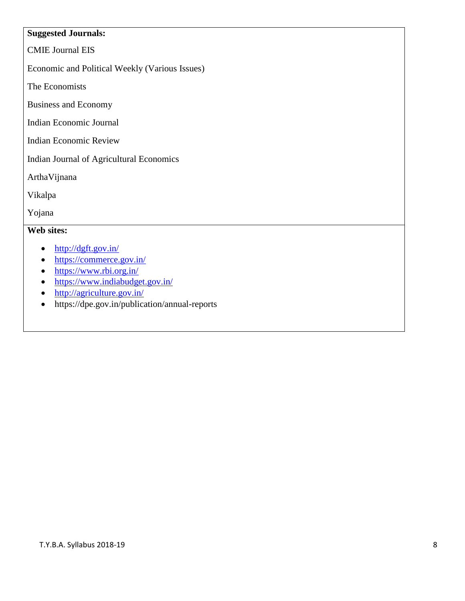## **Suggested Journals:**

CMIE Journal EIS

Economic and Political Weekly (Various Issues)

The Economists

Business and Economy

Indian Economic Journal

Indian Economic Review

Indian Journal of Agricultural Economics

ArthaVijnana

Vikalpa

Yojana

### **Web sites:**

- $\bullet$  <http://dgft.gov.in/>
- <https://commerce.gov.in/>
- <https://www.rbi.org.in/>
- <https://www.indiabudget.gov.in/>
- <http://agriculture.gov.in/>
- https://dpe.gov.in/publication/annual-reports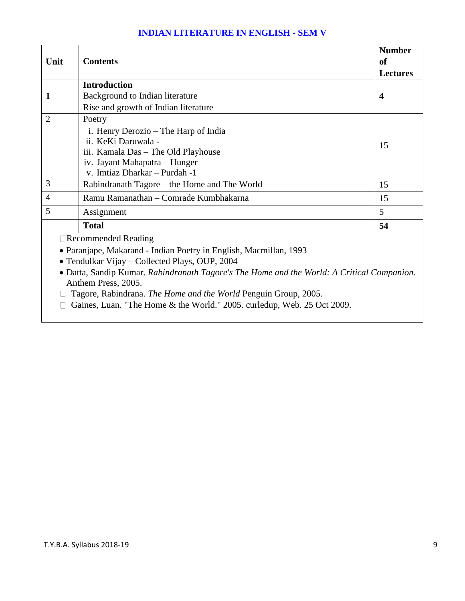### **INDIAN LITERATURE IN ENGLISH - SEM V**

| Unit           | <b>Contents</b>                                                                                                                     | <b>Number</b><br><sub>of</sub> |
|----------------|-------------------------------------------------------------------------------------------------------------------------------------|--------------------------------|
|                |                                                                                                                                     | <b>Lectures</b>                |
|                | <b>Introduction</b>                                                                                                                 |                                |
|                | Background to Indian literature                                                                                                     | $\boldsymbol{4}$               |
|                | Rise and growth of Indian literature                                                                                                |                                |
| 2              | Poetry                                                                                                                              |                                |
|                | i. Henry Derozio – The Harp of India                                                                                                |                                |
|                | ii. KeKi Daruwala -                                                                                                                 | 15                             |
|                | iii. Kamala Das – The Old Playhouse                                                                                                 |                                |
|                | iv. Jayant Mahapatra – Hunger                                                                                                       |                                |
|                | v. Imtiaz Dharkar - Purdah -1                                                                                                       |                                |
| 3              | Rabindranath Tagore – the Home and The World                                                                                        | 15                             |
| $\overline{4}$ | Ramu Ramanathan – Comrade Kumbhakarna                                                                                               | 15                             |
| 5              | Assignment                                                                                                                          | 5                              |
|                | <b>Total</b>                                                                                                                        | 54                             |
|                | $\Box$ Recommended Reading                                                                                                          |                                |
|                | $\mathbf{y}$ and $\mathbf{y}$ and $\mathbf{y}$ and $\mathbf{y}$ and $\mathbf{y}$ and $\mathbf{y}$ and $\mathbf{y}$ and $\mathbf{y}$ |                                |

Paranjape, Makarand - Indian Poetry in English, Macmillan, 1993

Tendulkar Vijay – Collected Plays, OUP, 2004

 Datta, Sandip Kumar. *Rabindranath Tagore's The Home and the World: A Critical Companion*. Anthem Press, 2005.

- Tagore, Rabindrana. *The Home and the World* Penguin Group, 2005.
- □ Gaines, Luan. "The Home & the World." 2005. curledup, Web. 25 Oct 2009.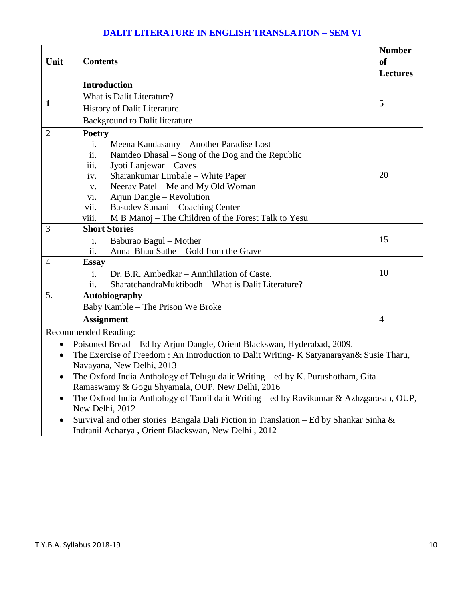## **DALIT LITERATURE IN ENGLISH TRANSLATION – SEM VI**

|                                                                         |                                                                                         | <b>Number</b>   |  |
|-------------------------------------------------------------------------|-----------------------------------------------------------------------------------------|-----------------|--|
| Unit                                                                    | <b>Contents</b>                                                                         | <sub>of</sub>   |  |
|                                                                         |                                                                                         | <b>Lectures</b> |  |
|                                                                         | <b>Introduction</b>                                                                     |                 |  |
|                                                                         | What is Dalit Literature?                                                               |                 |  |
| $\mathbf{1}$                                                            | History of Dalit Literature.                                                            | 5               |  |
|                                                                         | <b>Background to Dalit literature</b>                                                   |                 |  |
| $\overline{2}$                                                          | <b>Poetry</b>                                                                           |                 |  |
|                                                                         | Meena Kandasamy - Another Paradise Lost<br>i.                                           |                 |  |
|                                                                         | Namdeo Dhasal - Song of the Dog and the Republic<br>ii.                                 |                 |  |
|                                                                         | Jyoti Lanjewar - Caves<br>111.                                                          |                 |  |
|                                                                         | Sharankumar Limbale - White Paper<br>iv.                                                | 20              |  |
|                                                                         | Neerav Patel - Me and My Old Woman<br>V.                                                |                 |  |
|                                                                         | Arjun Dangle – Revolution<br>vi.                                                        |                 |  |
|                                                                         | vii.<br>Basudev Sunani - Coaching Center                                                |                 |  |
|                                                                         | viii.<br>M B Manoj - The Children of the Forest Talk to Yesu                            |                 |  |
| 3                                                                       | <b>Short Stories</b>                                                                    |                 |  |
|                                                                         | Baburao Bagul – Mother<br>$\mathbf{i}$ .                                                | 15              |  |
|                                                                         | ii.<br>Anna Bhau Sathe – Gold from the Grave                                            |                 |  |
| $\overline{4}$                                                          | <b>Essay</b>                                                                            |                 |  |
|                                                                         | Dr. B.R. Ambedkar – Annihilation of Caste.<br>$\mathbf{i}$ .                            | 10              |  |
|                                                                         | SharatchandraMuktibodh - What is Dalit Literature?<br>ii.                               |                 |  |
| 5.                                                                      | <b>Autobiography</b>                                                                    |                 |  |
|                                                                         | Baby Kamble - The Prison We Broke                                                       |                 |  |
|                                                                         | <b>Assignment</b>                                                                       | $\overline{4}$  |  |
| <b>Recommended Reading:</b>                                             |                                                                                         |                 |  |
| Poisoned Bread – Ed by Arjun Dangle, Orient Blackswan, Hyderabad, 2009. |                                                                                         |                 |  |
| $\bullet$                                                               | The Exercise of Freedom: An Introduction to Dalit Writing- K Satyanarayan& Susie Tharu, |                 |  |

- Navayana, New Delhi, 2013 The Oxford India Anthology of Telugu dalit Writing – ed by K. Purushotham, Gita Ramaswamy & Gogu Shyamala, OUP, New Delhi, 2016
- The Oxford India Anthology of Tamil dalit Writing ed by Ravikumar & Azhzgarasan, OUP, New Delhi, 2012
- Survival and other stories Bangala Dali Fiction in Translation Ed by Shankar Sinha  $\&$ Indranil Acharya , Orient Blackswan, New Delhi , 2012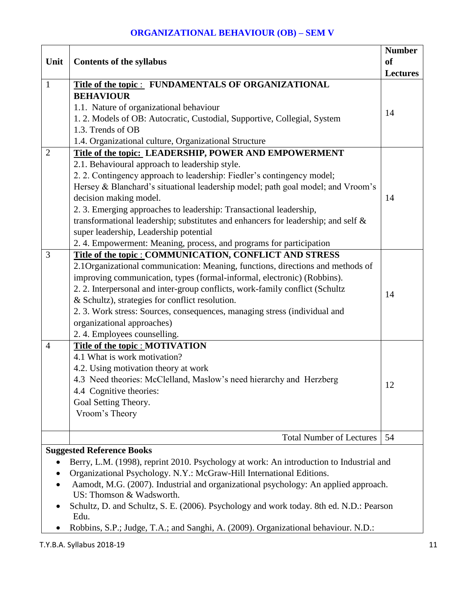## **ORGANIZATIONAL BEHAVIOUR (OB) – SEM V**

|                                                                                              |                                                                                         | <b>Number</b>   |  |
|----------------------------------------------------------------------------------------------|-----------------------------------------------------------------------------------------|-----------------|--|
| Unit                                                                                         | <b>Contents of the syllabus</b>                                                         | <b>of</b>       |  |
|                                                                                              |                                                                                         | <b>Lectures</b> |  |
| $\mathbf{1}$                                                                                 | Title of the topic : FUNDAMENTALS OF ORGANIZATIONAL                                     |                 |  |
|                                                                                              | <b>BEHAVIOUR</b>                                                                        |                 |  |
|                                                                                              | 1.1. Nature of organizational behaviour                                                 |                 |  |
|                                                                                              | 1. 2. Models of OB: Autocratic, Custodial, Supportive, Collegial, System                | 14              |  |
|                                                                                              | 1.3. Trends of OB                                                                       |                 |  |
|                                                                                              | 1.4. Organizational culture, Organizational Structure                                   |                 |  |
| $\overline{2}$                                                                               | Title of the topic: LEADERSHIP, POWER AND EMPOWERMENT                                   |                 |  |
|                                                                                              | 2.1. Behavioural approach to leadership style.                                          |                 |  |
|                                                                                              | 2. 2. Contingency approach to leadership: Fiedler's contingency model;                  |                 |  |
|                                                                                              | Hersey & Blanchard's situational leadership model; path goal model; and Vroom's         |                 |  |
|                                                                                              | decision making model.                                                                  | 14              |  |
|                                                                                              | 2. 3. Emerging approaches to leadership: Transactional leadership,                      |                 |  |
|                                                                                              | transformational leadership; substitutes and enhancers for leadership; and self &       |                 |  |
|                                                                                              | super leadership, Leadership potential                                                  |                 |  |
|                                                                                              | 2.4. Empowerment: Meaning, process, and programs for participation                      |                 |  |
| 3                                                                                            | Title of the topic : COMMUNICATION, CONFLICT AND STRESS                                 |                 |  |
|                                                                                              | 2.1 Organizational communication: Meaning, functions, directions and methods of         |                 |  |
|                                                                                              | improving communication, types (formal-informal, electronic) (Robbins).                 |                 |  |
|                                                                                              | 2. 2. Interpersonal and inter-group conflicts, work-family conflict (Schultz            |                 |  |
|                                                                                              | & Schultz), strategies for conflict resolution.                                         | 14              |  |
|                                                                                              | 2. 3. Work stress: Sources, consequences, managing stress (individual and               |                 |  |
|                                                                                              | organizational approaches)                                                              |                 |  |
|                                                                                              | 2.4. Employees counselling.                                                             |                 |  |
| $\overline{4}$                                                                               | <b>Title of the topic : MOTIVATION</b>                                                  |                 |  |
|                                                                                              | 4.1 What is work motivation?                                                            |                 |  |
|                                                                                              | 4.2. Using motivation theory at work                                                    |                 |  |
|                                                                                              | 4.3 Need theories: McClelland, Maslow's need hierarchy and Herzberg                     |                 |  |
|                                                                                              | 4.4 Cognitive theories:                                                                 | 12              |  |
|                                                                                              | Goal Setting Theory.                                                                    |                 |  |
|                                                                                              | Vroom's Theory                                                                          |                 |  |
|                                                                                              |                                                                                         |                 |  |
|                                                                                              | <b>Total Number of Lectures</b>                                                         | 54              |  |
|                                                                                              | <b>Suggested Reference Books</b>                                                        |                 |  |
| Berry, L.M. (1998), reprint 2010. Psychology at work: An introduction to Industrial and<br>٠ |                                                                                         |                 |  |
|                                                                                              | Organizational Psychology. N.Y.: McGraw-Hill International Editions.                    |                 |  |
|                                                                                              | Aamodt, M.G. (2007). Industrial and organizational psychology: An applied approach.     |                 |  |
|                                                                                              | US: Thomson & Wadsworth.                                                                |                 |  |
|                                                                                              | Schultz, D. and Schultz, S. E. (2006). Psychology and work today. 8th ed. N.D.: Pearson |                 |  |
|                                                                                              | Edu.                                                                                    |                 |  |

Robbins, S.P.; Judge, T.A.; and Sanghi, A. (2009). Organizational behaviour. N.D.: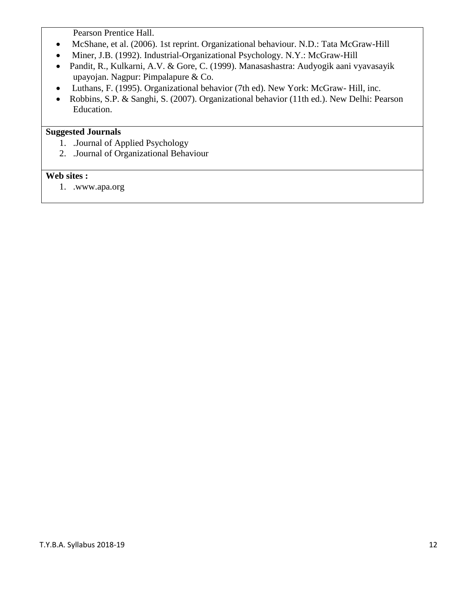Pearson Prentice Hall.

- McShane, et al. (2006). 1st reprint. Organizational behaviour. N.D.: Tata McGraw-Hill
- Miner, J.B. (1992). Industrial-Organizational Psychology. N.Y.: McGraw-Hill
- Pandit, R., Kulkarni, A.V. & Gore, C. (1999). Manasashastra: Audyogik aani vyavasayik upayojan. Nagpur: Pimpalapure & Co.
- Luthans, F. (1995). Organizational behavior (7th ed). New York: McGraw- Hill, inc.
- Robbins, S.P. & Sanghi, S. (2007). Organizational behavior (11th ed.). New Delhi: Pearson Education.

## **Suggested Journals**

- 1. .Journal of Applied Psychology
- 2. .Journal of Organizational Behaviour

### **Web sites :**

1. .www.apa.org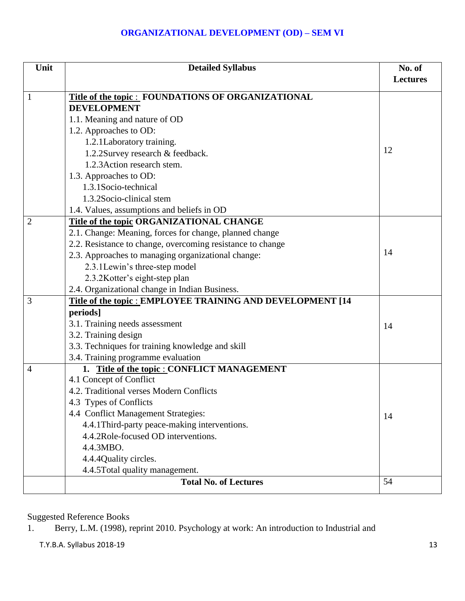### **ORGANIZATIONAL DEVELOPMENT (OD) – SEM VI**

| Unit           | <b>Detailed Syllabus</b>                                   | No. of<br><b>Lectures</b> |
|----------------|------------------------------------------------------------|---------------------------|
|                |                                                            |                           |
| 1              | Title of the topic: FOUNDATIONS OF ORGANIZATIONAL          |                           |
|                | <b>DEVELOPMENT</b>                                         |                           |
|                | 1.1. Meaning and nature of OD                              |                           |
|                | 1.2. Approaches to OD:                                     |                           |
|                | 1.2.1Laboratory training.                                  | 12                        |
|                | 1.2.2Survey research & feedback.                           |                           |
|                | 1.2.3 Action research stem.                                |                           |
|                | 1.3. Approaches to OD:                                     |                           |
|                | 1.3.1 Socio-technical                                      |                           |
|                | 1.3.2Socio-clinical stem                                   |                           |
|                | 1.4. Values, assumptions and beliefs in OD                 |                           |
| $\overline{2}$ | Title of the topic ORGANIZATIONAL CHANGE                   |                           |
|                | 2.1. Change: Meaning, forces for change, planned change    |                           |
|                | 2.2. Resistance to change, overcoming resistance to change |                           |
|                | 2.3. Approaches to managing organizational change:         | 14                        |
|                | 2.3.1Lewin's three-step model                              |                           |
|                | 2.3.2Kotter's eight-step plan                              |                           |
|                | 2.4. Organizational change in Indian Business.             |                           |
| 3              | Title of the topic : EMPLOYEE TRAINING AND DEVELOPMENT [14 |                           |
|                | periods]                                                   |                           |
|                | 3.1. Training needs assessment                             | 14                        |
|                | 3.2. Training design                                       |                           |
|                | 3.3. Techniques for training knowledge and skill           |                           |
|                | 3.4. Training programme evaluation                         |                           |
| $\overline{4}$ | 1. Title of the topic : CONFLICT MANAGEMENT                |                           |
|                | 4.1 Concept of Conflict                                    |                           |
|                | 4.2. Traditional verses Modern Conflicts                   |                           |
|                | 4.3 Types of Conflicts                                     |                           |
|                | 4.4 Conflict Management Strategies:                        | 14                        |
|                | 4.4.1 Third-party peace-making interventions.              |                           |
|                | 4.4.2Role-focused OD interventions.                        |                           |
|                | 4.4.3MBO.                                                  |                           |
|                | 4.4.4 Quality circles.                                     |                           |
|                | 4.4.5 Total quality management.                            |                           |
|                | <b>Total No. of Lectures</b>                               | 54                        |

## Suggested Reference Books

1. Berry, L.M. (1998), reprint 2010. Psychology at work: An introduction to Industrial and

T.Y.B.A. Syllabus 2018-19 13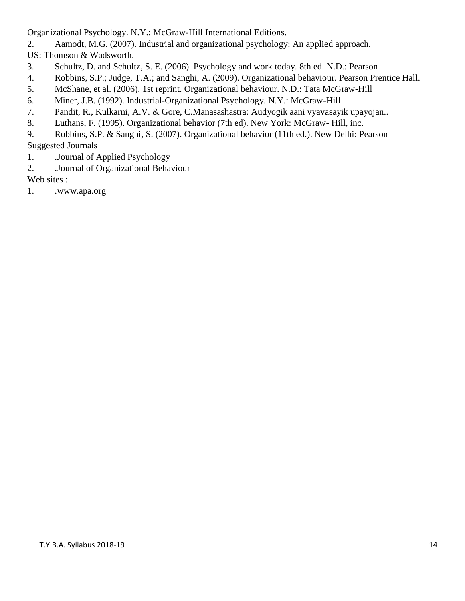Organizational Psychology. N.Y.: McGraw-Hill International Editions.

2. Aamodt, M.G. (2007). Industrial and organizational psychology: An applied approach.

US: Thomson & Wadsworth.

- 3. Schultz, D. and Schultz, S. E. (2006). Psychology and work today. 8th ed. N.D.: Pearson
- 4. Robbins, S.P.; Judge, T.A.; and Sanghi, A. (2009). Organizational behaviour. Pearson Prentice Hall.
- 5. McShane, et al. (2006). 1st reprint. Organizational behaviour. N.D.: Tata McGraw-Hill
- 6. Miner, J.B. (1992). Industrial-Organizational Psychology. N.Y.: McGraw-Hill
- 7. Pandit, R., Kulkarni, A.V. & Gore, C.Manasashastra: Audyogik aani vyavasayik upayojan..
- 8. Luthans, F. (1995). Organizational behavior (7th ed). New York: McGraw- Hill, inc.
- 9. Robbins, S.P. & Sanghi, S. (2007). Organizational behavior (11th ed.). New Delhi: Pearson Suggested Journals
- 1. .Journal of Applied Psychology
- 2. .Journal of Organizational Behaviour

Web sites :

1. .www.apa.org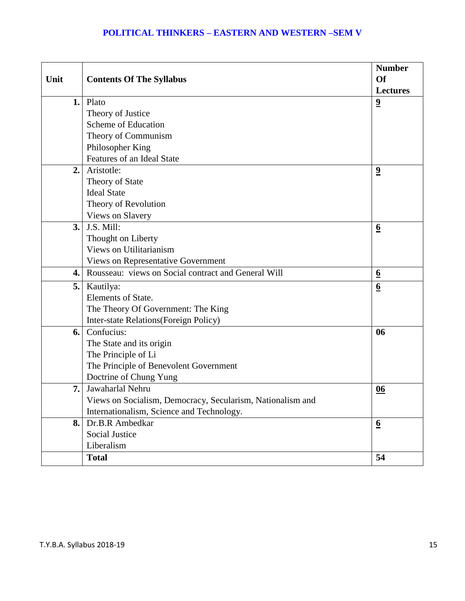## **POLITICAL THINKERS – EASTERN AND WESTERN –SEM V**

|      |                                                            | <b>Number</b>           |
|------|------------------------------------------------------------|-------------------------|
| Unit | <b>Contents Of The Syllabus</b>                            | <b>Of</b>               |
|      |                                                            | <b>Lectures</b>         |
| 1.   | Plato                                                      | $\overline{\mathbf{2}}$ |
|      | Theory of Justice                                          |                         |
|      | Scheme of Education                                        |                         |
|      | Theory of Communism                                        |                         |
|      | Philosopher King                                           |                         |
|      | Features of an Ideal State                                 |                         |
| 2.   | Aristotle:                                                 | $\overline{\mathbf{2}}$ |
|      | Theory of State                                            |                         |
|      | <b>Ideal State</b>                                         |                         |
|      | Theory of Revolution                                       |                         |
|      | Views on Slavery                                           |                         |
| 3.   | J.S. Mill:                                                 | $\underline{6}$         |
|      | Thought on Liberty                                         |                         |
|      | Views on Utilitarianism                                    |                         |
|      | <b>Views on Representative Government</b>                  |                         |
| 4.   | Rousseau: views on Social contract and General Will        | $\underline{6}$         |
| 5.   | Kautilya:                                                  | $\underline{6}$         |
|      | Elements of State.                                         |                         |
|      | The Theory Of Government: The King                         |                         |
|      | Inter-state Relations(Foreign Policy)                      |                         |
| 6.   | Confucius:                                                 | 06                      |
|      | The State and its origin                                   |                         |
|      | The Principle of Li                                        |                         |
|      | The Principle of Benevolent Government                     |                         |
|      | Doctrine of Chung Yung                                     |                         |
| 7.   | Jawaharlal Nehru                                           | 06                      |
|      | Views on Socialism, Democracy, Secularism, Nationalism and |                         |
|      | Internationalism, Science and Technology.                  |                         |
| 8.   | Dr.B.R Ambedkar                                            | $\underline{6}$         |
|      | <b>Social Justice</b>                                      |                         |
|      | Liberalism                                                 |                         |
|      | <b>Total</b>                                               | 54                      |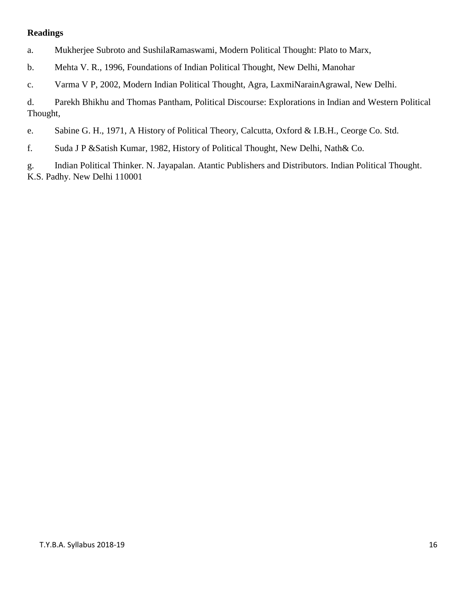### **Readings**

- a. Mukherjee Subroto and SushilaRamaswami, Modern Political Thought: Plato to Marx,
- b. Mehta V. R., 1996, Foundations of Indian Political Thought, New Delhi, Manohar
- c. Varma V P, 2002, Modern Indian Political Thought, Agra, LaxmiNarainAgrawal, New Delhi.

d. Parekh Bhikhu and Thomas Pantham, Political Discourse: Explorations in Indian and Western Political Thought,

e. Sabine G. H., 1971, A History of Political Theory, Calcutta, Oxford & I.B.H., Ceorge Co. Std.

f. Suda J P &Satish Kumar, 1982, History of Political Thought, New Delhi, Nath& Co.

g. Indian Political Thinker. N. Jayapalan. Atantic Publishers and Distributors. Indian Political Thought. K.S. Padhy. New Delhi 110001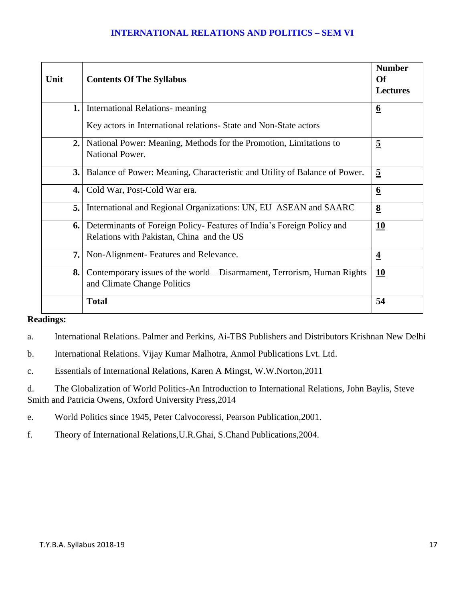### **INTERNATIONAL RELATIONS AND POLITICS – SEM VI**

| Unit | <b>Contents Of The Syllabus</b>                                                                                    | <b>Number</b><br><b>Of</b><br><b>Lectures</b> |
|------|--------------------------------------------------------------------------------------------------------------------|-----------------------------------------------|
| 1.   | <b>International Relations- meaning</b>                                                                            | $\underline{6}$                               |
|      | Key actors in International relations- State and Non-State actors                                                  |                                               |
| 2.   | National Power: Meaning, Methods for the Promotion, Limitations to<br>National Power.                              | $\overline{5}$                                |
| 3.1  | Balance of Power: Meaning, Characteristic and Utility of Balance of Power.                                         | $\overline{5}$                                |
| 4.1  | Cold War, Post-Cold War era.                                                                                       | $\underline{6}$                               |
| 5.   | International and Regional Organizations: UN, EU ASEAN and SAARC                                                   | $\underline{8}$                               |
| 6.1  | Determinants of Foreign Policy-Features of India's Foreign Policy and<br>Relations with Pakistan, China and the US | 10                                            |
| 7.   | Non-Alignment-Features and Relevance.                                                                              | $\overline{4}$                                |
| 8.   | Contemporary issues of the world – Disarmament, Terrorism, Human Rights<br>and Climate Change Politics             | <u>10</u>                                     |
|      | <b>Total</b>                                                                                                       | 54                                            |

# **Readings:**

a. International Relations. Palmer and Perkins, Ai-TBS Publishers and Distributors Krishnan New Delhi

b. International Relations. Vijay Kumar Malhotra, Anmol Publications Lvt. Ltd.

c. Essentials of International Relations, Karen A Mingst, W.W.Norton,2011

d. The Globalization of World Politics-An Introduction to International Relations, John Baylis, Steve Smith and Patricia Owens, Oxford University Press,2014

e. World Politics since 1945, Peter Calvocoressi, Pearson Publication,2001.

f. Theory of International Relations,U.R.Ghai, S.Chand Publications,2004.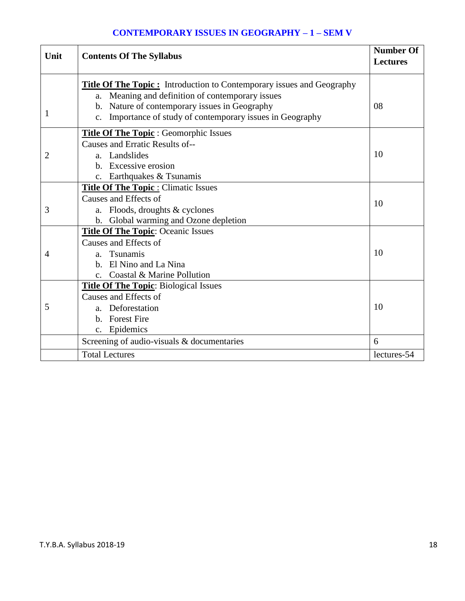## **CONTEMPORARY ISSUES IN GEOGRAPHY – 1 – SEM V**

| Unit | <b>Contents Of The Syllabus</b>                                                                                                                                                                                                                 | <b>Number Of</b><br><b>Lectures</b> |
|------|-------------------------------------------------------------------------------------------------------------------------------------------------------------------------------------------------------------------------------------------------|-------------------------------------|
| 1    | <b>Title Of The Topic:</b> Introduction to Contemporary issues and Geography<br>a. Meaning and definition of contemporary issues<br>b. Nature of contemporary issues in Geography<br>c. Importance of study of contemporary issues in Geography | 08                                  |
| 2    | <b>Title Of The Topic: Geomorphic Issues</b><br>Causes and Erratic Results of--<br>a. Landslides                                                                                                                                                | 10                                  |
|      | b. Excessive erosion<br>c. Earthquakes & Tsunamis                                                                                                                                                                                               |                                     |
| 3    | <b>Title Of The Topic: Climatic Issues</b><br>Causes and Effects of<br>a. Floods, droughts & cyclones<br>b. Global warming and Ozone depletion                                                                                                  | 10                                  |
| 4    | <b>Title Of The Topic: Oceanic Issues</b><br>Causes and Effects of<br>a. Tsunamis<br>b. El Nino and La Nina<br>c. Coastal & Marine Pollution                                                                                                    | 10                                  |
| 5    | <b>Title Of The Topic:</b> Biological Issues<br>Causes and Effects of<br>a. Deforestation<br>b. Forest Fire<br>c. Epidemics                                                                                                                     | 10                                  |
|      | Screening of audio-visuals & documentaries<br><b>Total Lectures</b>                                                                                                                                                                             | 6<br>lectures-54                    |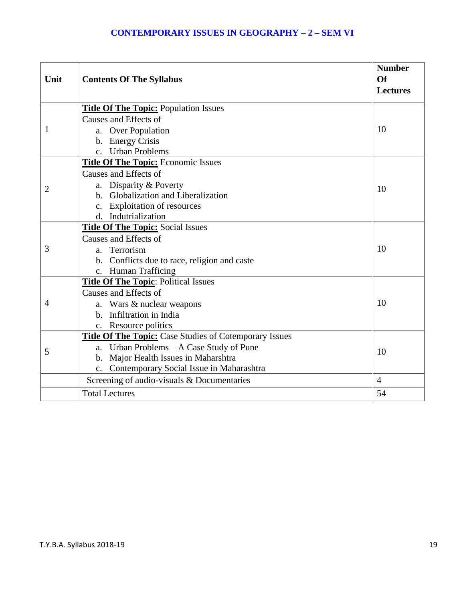| Unit           | <b>Contents Of The Syllabus</b>                               | <b>Number</b><br>Of<br><b>Lectures</b> |
|----------------|---------------------------------------------------------------|----------------------------------------|
|                | <b>Title Of The Topic: Population Issues</b>                  |                                        |
|                | Causes and Effects of                                         |                                        |
| 1              | a. Over Population                                            | 10                                     |
|                | b. Energy Crisis                                              |                                        |
|                | c. Urban Problems                                             |                                        |
|                | <b>Title Of The Topic: Economic Issues</b>                    |                                        |
|                | Causes and Effects of                                         |                                        |
| $\overline{2}$ | a. Disparity & Poverty                                        | 10                                     |
|                | b. Globalization and Liberalization                           |                                        |
|                | c. Exploitation of resources                                  |                                        |
|                | d. Indutrialization                                           |                                        |
|                | <b>Title Of The Topic: Social Issues</b>                      |                                        |
|                | Causes and Effects of                                         |                                        |
| 3              | a. Terrorism                                                  | 10                                     |
|                | b. Conflicts due to race, religion and caste                  |                                        |
|                | c. Human Trafficing                                           |                                        |
|                | <b>Title Of The Topic: Political Issues</b>                   |                                        |
|                | Causes and Effects of                                         |                                        |
| 4              | a. Wars & nuclear weapons                                     | 10                                     |
|                | b. Infiltration in India                                      |                                        |
|                | c. Resource politics                                          |                                        |
| 5              | <b>Title Of The Topic:</b> Case Studies of Cotemporary Issues |                                        |
|                | a. Urban Problems - A Case Study of Pune                      | 10                                     |
|                | b. Major Health Issues in Maharshtra                          |                                        |
|                | c. Contemporary Social Issue in Maharashtra                   |                                        |
|                | Screening of audio-visuals & Documentaries                    | $\overline{4}$                         |
|                | <b>Total Lectures</b>                                         | 54                                     |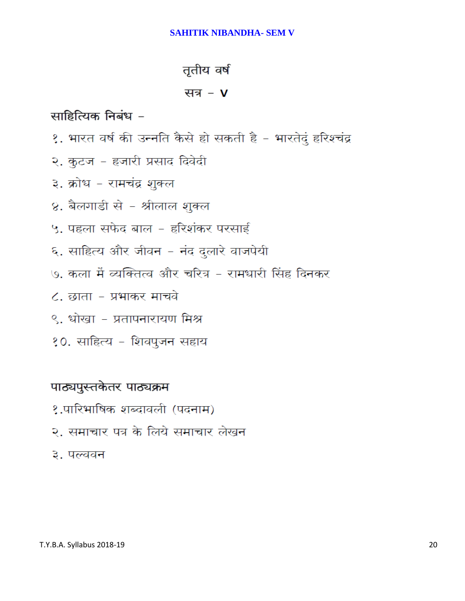### **SAHITIK NIBANDHA- SEM V**

# तृतीय वर्ष

# सत्र -  $V$

# साहित्यिक निबंध -

- १. भारत वर्ष की उन्नति कैसे हो सकती है भारतेदुं हरिश्चंद्र
- २. कुटज हजारी प्रसाद दिवेदी
- ३. क्रोध रामचंद्र शुक्ल
- ४. बैलगाडी से श्रीलाल शुक्ल
- ५. पहला सफेद बाल हरिशंकर परसाई
- ६. साहित्य और जीवन नंद दुलारे वाजपेयी
- ७. कला में व्यक्तित्व और चरित्र रामधारी सिंह दिनकर
- ८. छाता प्रभाकर माचवे
- ९. धोखा प्रतापनारायण मिश्र
- १०. साहित्य शिवपुजन सहाय

# पाठ्यपुस्तकेतर पाठ्यक्रम

- १.पारिभाषिक शब्दावली (पदनाम)
- २. समाचार पत्र के लिये समाचार लेखन
- ३. पल्लवन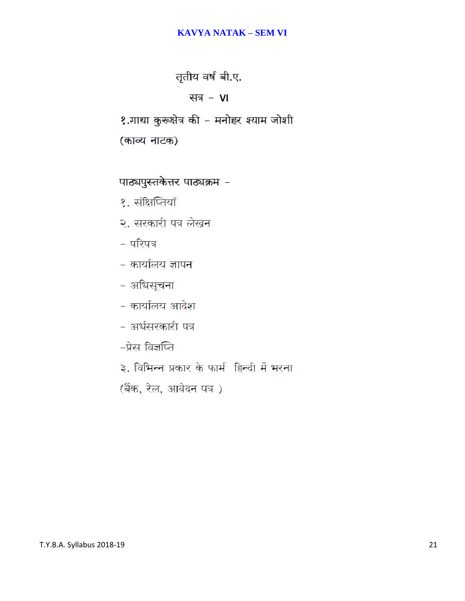### **KAVYA NATAK – SEM VI**

तृतीय वर्ष बी.ए.

सत्र - VI

१.गाथा कुरूक्षेत्र की - मनोहर श्याम जोशी

(काव्य नाटक)

पाठ्यपुस्तकेत्तर पाठ्यक्रम -

१. संक्षिप्तियाँ

२. सरकारी पत्र लेखन

- परिपत्र

- कार्यालय ज्ञापन
- अधिसूचना

- कार्यालय आदेश

- अर्धसरकारी पत्र

-प्रेस विज्ञप्ति

३. विभिन्न प्रकार के फार्म हिन्दी में भरना

(बैंक, रेल, आवेदन पत्र)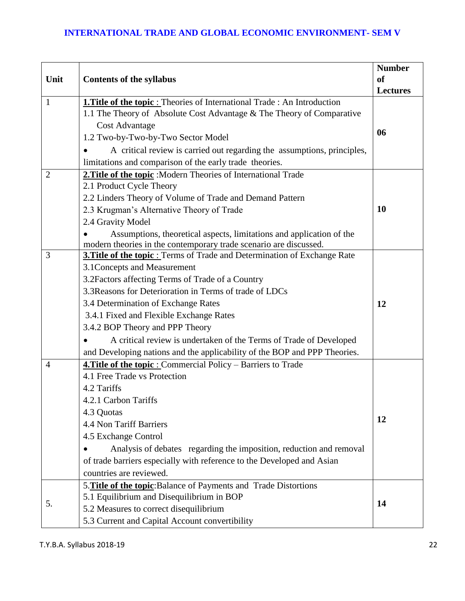|                |                                                                                                                                                         | <b>Number</b>   |
|----------------|---------------------------------------------------------------------------------------------------------------------------------------------------------|-----------------|
| Unit           | <b>Contents of the syllabus</b>                                                                                                                         | <sub>of</sub>   |
|                |                                                                                                                                                         | <b>Lectures</b> |
| $\mathbf{1}$   | <b>1. Title of the topic:</b> Theories of International Trade: An Introduction<br>1.1 The Theory of Absolute Cost Advantage & The Theory of Comparative |                 |
|                | <b>Cost Advantage</b>                                                                                                                                   |                 |
|                | 1.2 Two-by-Two-by-Two Sector Model                                                                                                                      | 06              |
|                | A critical review is carried out regarding the assumptions, principles,                                                                                 |                 |
|                | limitations and comparison of the early trade theories.                                                                                                 |                 |
| $\overline{2}$ | 2. Title of the topic : Modern Theories of International Trade                                                                                          |                 |
|                | 2.1 Product Cycle Theory                                                                                                                                |                 |
|                | 2.2 Linders Theory of Volume of Trade and Demand Pattern                                                                                                |                 |
|                | 2.3 Krugman's Alternative Theory of Trade                                                                                                               | 10              |
|                | 2.4 Gravity Model                                                                                                                                       |                 |
|                | Assumptions, theoretical aspects, limitations and application of the                                                                                    |                 |
|                | modern theories in the contemporary trade scenario are discussed.                                                                                       |                 |
| 3              | <b>3. Title of the topic:</b> Terms of Trade and Determination of Exchange Rate                                                                         |                 |
|                | 3.1 Concepts and Measurement                                                                                                                            |                 |
|                | 3.2 Factors affecting Terms of Trade of a Country                                                                                                       |                 |
|                | 3.3 Reasons for Deterioration in Terms of trade of LDCs                                                                                                 |                 |
|                | 3.4 Determination of Exchange Rates                                                                                                                     | 12              |
|                | 3.4.1 Fixed and Flexible Exchange Rates                                                                                                                 |                 |
|                | 3.4.2 BOP Theory and PPP Theory                                                                                                                         |                 |
|                | A critical review is undertaken of the Terms of Trade of Developed                                                                                      |                 |
|                | and Developing nations and the applicability of the BOP and PPP Theories.                                                                               |                 |
| $\overline{4}$ | 4. Title of the topic : Commercial Policy - Barriers to Trade                                                                                           |                 |
|                | 4.1 Free Trade vs Protection                                                                                                                            |                 |
|                | 4.2 Tariffs                                                                                                                                             |                 |
|                | 4.2.1 Carbon Tariffs                                                                                                                                    |                 |
|                | 4.3 Quotas                                                                                                                                              | 12              |
|                | 4.4 Non Tariff Barriers                                                                                                                                 |                 |
|                | 4.5 Exchange Control                                                                                                                                    |                 |
|                | Analysis of debates regarding the imposition, reduction and removal                                                                                     |                 |
|                | of trade barriers especially with reference to the Developed and Asian                                                                                  |                 |
|                | countries are reviewed.                                                                                                                                 |                 |
|                | 5. Title of the topic: Balance of Payments and Trade Distortions                                                                                        |                 |
| 5.             | 5.1 Equilibrium and Disequilibrium in BOP                                                                                                               | 14              |
|                | 5.2 Measures to correct disequilibrium                                                                                                                  |                 |
|                | 5.3 Current and Capital Account convertibility                                                                                                          |                 |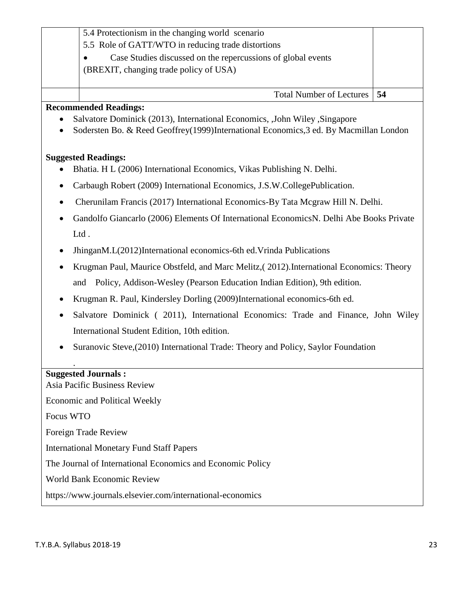|           | 5.4 Protectionism in the changing world scenario                                        |    |  |
|-----------|-----------------------------------------------------------------------------------------|----|--|
|           | 5.5 Role of GATT/WTO in reducing trade distortions                                      |    |  |
|           | Case Studies discussed on the repercussions of global events<br>$\bullet$               |    |  |
|           | (BREXIT, changing trade policy of USA)                                                  |    |  |
|           |                                                                                         |    |  |
|           | <b>Total Number of Lectures</b>                                                         | 54 |  |
|           | <b>Recommended Readings:</b>                                                            |    |  |
| $\bullet$ | Salvatore Dominick (2013), International Economics, John Wiley, Singapore               |    |  |
| $\bullet$ | Sodersten Bo. & Reed Geoffrey (1999) International Economics, 3 ed. By Macmillan London |    |  |

### **Suggested Readings:**

- Bhatia. H L (2006) [International Economics,](http://dataserver/libsuite/ca_det.asp?m_doc_no=7486) Vikas Publishing N. Delhi.
- Carbaugh Robert (2009) [International Economics,](http://dataserver/libsuite/ca_det.asp?m_doc_no=12280) J.S.W.CollegePublication.
- Cherunilam Francis (2017) [International Economics-](http://dataserver/libsuite/ca_det.asp?m_doc_no=7485)By Tata Mcgraw Hill N. Delhi.
- Gandolfo Giancarlo (2006) [Elements Of International EconomicsN](http://dataserver/libsuite/ca_det.asp?m_doc_no=48067). Delhi Abe Books Private Ltd .
- JhinganM.L(2012[\)International economics-](http://dataserver/libsuite/ca_det.asp?m_doc_no=50309)6th ed.Vrinda Publications
- Krugman Paul, Maurice Obstfeld, and Marc Melitz,( 2012).International Economics: Theory and Policy, Addison-Wesley (Pearson Education Indian Edition), 9th edition.
- Krugman R. Paul, Kindersley Dorling (2009[\)International economics-](http://dataserver/libsuite/ca_det.asp?m_doc_no=52584)6th ed.
- Salvatore Dominick ( 2011), International Economics: Trade and Finance, John Wiley International Student Edition, 10th edition.
- Suranovic Steve,(2010) International Trade: Theory and Policy, Saylor Foundation

### **Suggested Journals :**

.

Asia Pacific Business Review Economic and Political Weekly Focus WTO Foreign Trade Review International Monetary Fund Staff Papers The Journal of International Economics and Economic Policy World Bank Economic Review https://www.journals.elsevier.com/international-economics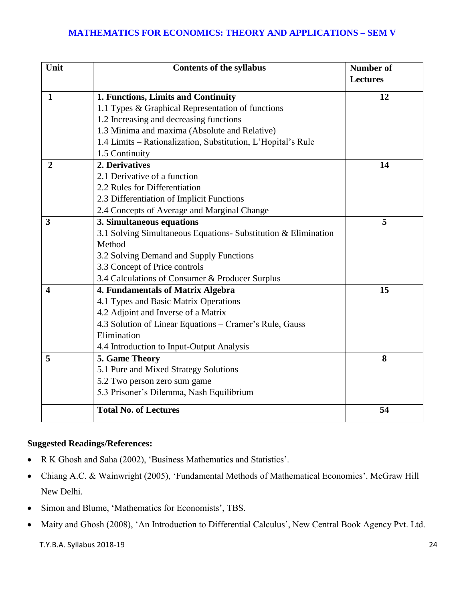### **MATHEMATICS FOR ECONOMICS: THEORY AND APPLICATIONS – SEM V**

| Unit                    | <b>Contents of the syllabus</b>                                | <b>Number of</b> |
|-------------------------|----------------------------------------------------------------|------------------|
|                         |                                                                | <b>Lectures</b>  |
| $\mathbf 1$             | 1. Functions, Limits and Continuity                            | 12               |
|                         | 1.1 Types & Graphical Representation of functions              |                  |
|                         | 1.2 Increasing and decreasing functions                        |                  |
|                         | 1.3 Minima and maxima (Absolute and Relative)                  |                  |
|                         | 1.4 Limits - Rationalization, Substitution, L'Hopital's Rule   |                  |
|                         | 1.5 Continuity                                                 |                  |
| $\overline{2}$          | 2. Derivatives                                                 | 14               |
|                         | 2.1 Derivative of a function                                   |                  |
|                         | 2.2 Rules for Differentiation                                  |                  |
|                         | 2.3 Differentiation of Implicit Functions                      |                  |
|                         | 2.4 Concepts of Average and Marginal Change                    |                  |
| 3                       | 3. Simultaneous equations                                      | 5                |
|                         | 3.1 Solving Simultaneous Equations- Substitution & Elimination |                  |
|                         | Method                                                         |                  |
|                         | 3.2 Solving Demand and Supply Functions                        |                  |
|                         | 3.3 Concept of Price controls                                  |                  |
|                         | 3.4 Calculations of Consumer & Producer Surplus                |                  |
| $\overline{\mathbf{4}}$ | 4. Fundamentals of Matrix Algebra                              | 15               |
|                         | 4.1 Types and Basic Matrix Operations                          |                  |
|                         | 4.2 Adjoint and Inverse of a Matrix                            |                  |
|                         | 4.3 Solution of Linear Equations – Cramer's Rule, Gauss        |                  |
|                         | Elimination                                                    |                  |
|                         | 4.4 Introduction to Input-Output Analysis                      |                  |
| 5                       | 5. Game Theory                                                 | 8                |
|                         | 5.1 Pure and Mixed Strategy Solutions                          |                  |
|                         | 5.2 Two person zero sum game                                   |                  |
|                         | 5.3 Prisoner's Dilemma, Nash Equilibrium                       |                  |
|                         | <b>Total No. of Lectures</b>                                   | 54               |

### **Suggested Readings/References:**

- R K Ghosh and Saha (2002), 'Business Mathematics and Statistics'.
- Chiang A.C. & Wainwright (2005), 'Fundamental Methods of Mathematical Economics'. McGraw Hill New Delhi.
- Simon and Blume, 'Mathematics for Economists', TBS.
- Maity and Ghosh (2008), 'An Introduction to Differential Calculus', New Central Book Agency Pvt. Ltd.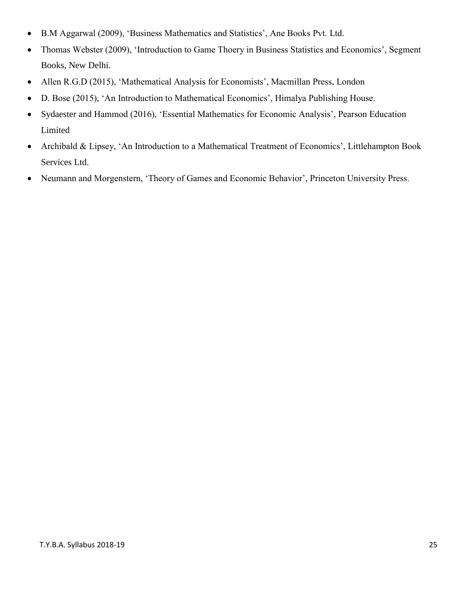- B.M Aggarwal (2009), 'Business Mathematics and Statistics', Ane Books Pvt. Ltd.
- Thomas Webster (2009), 'Introduction to Game Thoery in Business Statistics and Economics', Segment Books, New Delhi.
- Allen R.G.D (2015), 'Mathematical Analysis for Economists', Macmillan Press, London
- D. Bose (2015), 'An Introduction to Mathematical Economics', Himalya Publishing House.
- Sydaester and Hammod (2016), 'Essential Mathematics for Economic Analysis', Pearson Education Limited
- Archibald & Lipsey, 'An Introduction to a Mathematical Treatment of Economics', Littlehampton Book Services Ltd.
- Neumann and Morgenstern, 'Theory of Games and Economic Behavior', Princeton University Press.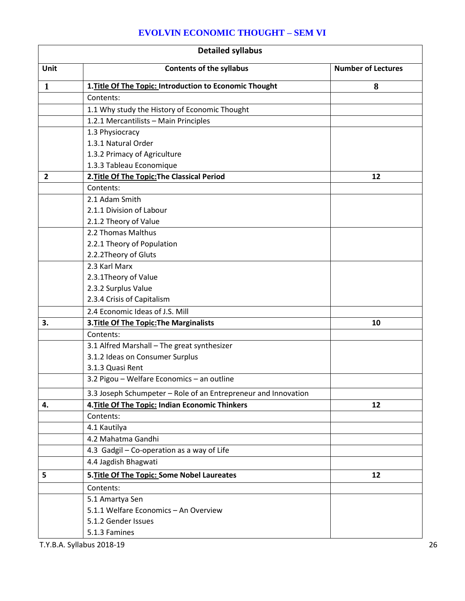|  |  | <b>EVOLVIN ECONOMIC THOUGHT - SEM VI</b> |
|--|--|------------------------------------------|
|--|--|------------------------------------------|

| <b>Detailed syllabus</b> |                                                                |                           |
|--------------------------|----------------------------------------------------------------|---------------------------|
| Unit                     | <b>Contents of the syllabus</b>                                | <b>Number of Lectures</b> |
| $\mathbf{1}$             | 1. Title Of The Topic: Introduction to Economic Thought        | 8                         |
|                          | Contents:                                                      |                           |
|                          | 1.1 Why study the History of Economic Thought                  |                           |
|                          | 1.2.1 Mercantilists - Main Principles                          |                           |
|                          | 1.3 Physiocracy                                                |                           |
|                          | 1.3.1 Natural Order                                            |                           |
|                          | 1.3.2 Primacy of Agriculture                                   |                           |
|                          | 1.3.3 Tableau Economique                                       |                           |
| $\overline{2}$           | 2. Title Of The Topic: The Classical Period                    | 12                        |
|                          | Contents:                                                      |                           |
|                          | 2.1 Adam Smith                                                 |                           |
|                          | 2.1.1 Division of Labour                                       |                           |
|                          | 2.1.2 Theory of Value                                          |                           |
|                          | 2.2 Thomas Malthus                                             |                           |
|                          | 2.2.1 Theory of Population                                     |                           |
|                          | 2.2.2Theory of Gluts                                           |                           |
|                          | 2.3 Karl Marx                                                  |                           |
|                          | 2.3.1Theory of Value                                           |                           |
|                          | 2.3.2 Surplus Value                                            |                           |
|                          | 2.3.4 Crisis of Capitalism                                     |                           |
|                          | 2.4 Economic Ideas of J.S. Mill                                |                           |
| 3.                       | 3. Title Of The Topic: The Marginalists                        | 10                        |
|                          | Contents:                                                      |                           |
|                          | 3.1 Alfred Marshall - The great synthesizer                    |                           |
|                          | 3.1.2 Ideas on Consumer Surplus                                |                           |
|                          | 3.1.3 Quasi Rent                                               |                           |
|                          | 3.2 Pigou - Welfare Economics - an outline                     |                           |
|                          | 3.3 Joseph Schumpeter - Role of an Entrepreneur and Innovation |                           |
| 4.                       | 4. Title Of The Topic: Indian Economic Thinkers                | 12                        |
|                          | Contents:                                                      |                           |
|                          | 4.1 Kautilya                                                   |                           |
|                          | 4.2 Mahatma Gandhi                                             |                           |
|                          | 4.3 Gadgil - Co-operation as a way of Life                     |                           |
|                          | 4.4 Jagdish Bhagwati                                           |                           |
| 5                        | 5. Title Of The Topic: Some Nobel Laureates                    | 12                        |
|                          | Contents:                                                      |                           |
|                          | 5.1 Amartya Sen                                                |                           |
|                          | 5.1.1 Welfare Economics - An Overview                          |                           |
|                          | 5.1.2 Gender Issues                                            |                           |
|                          | 5.1.3 Famines                                                  |                           |

T.Y.B.A. Syllabus 2018-19 26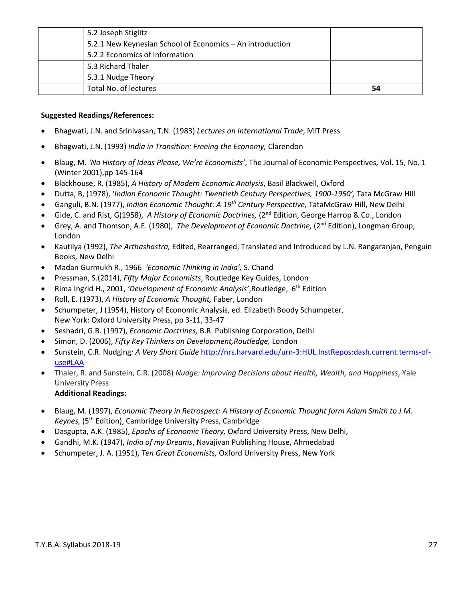| 5.2 Joseph Stiglitz                                       |    |
|-----------------------------------------------------------|----|
| 5.2.1 New Keynesian School of Economics - An introduction |    |
| 5.2.2 Economics of Information                            |    |
| 5.3 Richard Thaler                                        |    |
| 5.3.1 Nudge Theory                                        |    |
| Total No. of lectures                                     | 54 |

#### **Suggested Readings/References:**

- Bhagwati, J.N. and Srinivasan, T.N. (1983) *Lectures on International Trade*, MIT Press
- Bhagwati, J.N. (1993) *India in Transition: Freeing the Economy,* Clarendon
- Blaug, M. *'No History of Ideas Please, We're Economists'*, The Journal of Economic Perspectives*,* Vol. 15, No. 1 (Winter 2001),pp 145-164
- Blackhouse, R. (1985), *A History of Modern Economic Analysis*, Basil Blackwell, Oxford
- Dutta, B, (1978), '*Indian Economic Thought: Twentieth Century Perspectives, 1900-1950',* Tata McGraw Hill
- Ganguli, B.N. (1977), *Indian Economic Thought: A 19th Century Perspective,* TataMcGraw Hill, New Delhi
- Gide, C. and Rist, G(1958), *A History of Economic Doctrines,* (2nd Edition, George Harrop & Co., London
- Grey, A. and Thomson, A.E. (1980), *The Development of Economic Doctrine,* (2nd Edition), Longman Group, London
- Kautilya (1992), *The Arthashastra,* Edited, Rearranged, Translated and Introduced by L.N. Rangaranjan, Penguin Books, New Delhi
- Madan Gurmukh R., 1966 *'Economic Thinking in India',* S. Chand
- Pressman, S.(2014), *Fifty Major Economists*, Routledge Key Guides, London
- Rima Ingrid H., 2001, *'Development of Economic Analysis'*,Routledge, 6th Edition
- Roll, E. (1973), *A History of Economic Thought,* Faber, London
- Schumpeter, J (1954), History of Economic Analysis, ed. Elizabeth Boody Schumpeter, New York: Oxford University Press, pp 3-11, 33-47
- Seshadri, G.B. (1997), *Economic Doctrines,* B.R. Publishing Corporation, Delhi
- Simon, D. (2006), *Fifty Key Thinkers on Development,Routledge,* London
- Sunstein, C.R. Nudging*: A Very Short Guide* [http://nrs.harvard.edu/urn-3:HUL.InstRepos:dash.current.terms-of](http://nrs.harvard.edu/urn-3:HUL.InstRepos:dash.current.terms-of-use#LAA)[use#LAA](http://nrs.harvard.edu/urn-3:HUL.InstRepos:dash.current.terms-of-use#LAA)
- Thaler, R. and Sunstein, C.R. (2008) *Nudge: Improving Decisions about Health, Wealth, and Happiness*, Yale University Press

#### **Additional Readings:**

- Blaug, M. (1997), *Economic Theory in Retrospect: A History of Economic Thought form Adam Smith to J.M. Keynes,* (5<sup>th</sup> Edition), Cambridge University Press, Cambridge
- Dasgupta, A.K. (1985), *Epochs of Economic Theory,* Oxford University Press, New Delhi,
- Gandhi, M.K. (1947), *India of my Dreams*, Navajivan Publishing House, Ahmedabad
- Schumpeter, J. A. (1951), *Ten Great Economists,* Oxford University Press, New York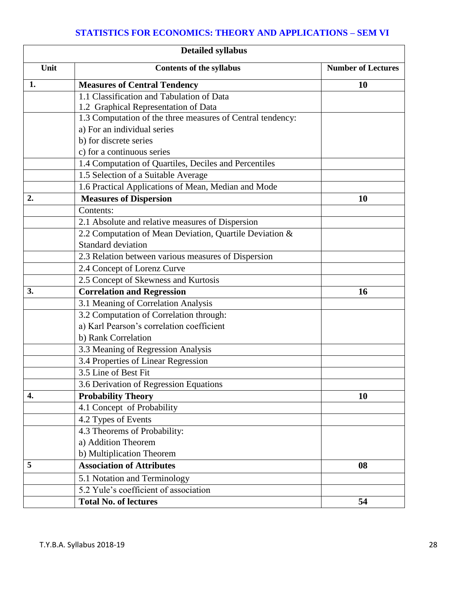## **STATISTICS FOR ECONOMICS: THEORY AND APPLICATIONS – SEM VI**

| <b>Detailed syllabus</b> |                                                            |                           |
|--------------------------|------------------------------------------------------------|---------------------------|
| Unit                     | <b>Contents of the syllabus</b>                            | <b>Number of Lectures</b> |
| 1.                       | <b>Measures of Central Tendency</b>                        | <b>10</b>                 |
|                          | 1.1 Classification and Tabulation of Data                  |                           |
|                          | 1.2 Graphical Representation of Data                       |                           |
|                          | 1.3 Computation of the three measures of Central tendency: |                           |
|                          | a) For an individual series                                |                           |
|                          | b) for discrete series                                     |                           |
|                          | c) for a continuous series                                 |                           |
|                          | 1.4 Computation of Quartiles, Deciles and Percentiles      |                           |
|                          | 1.5 Selection of a Suitable Average                        |                           |
|                          | 1.6 Practical Applications of Mean, Median and Mode        |                           |
| 2.                       | <b>Measures of Dispersion</b>                              | 10                        |
|                          | Contents:                                                  |                           |
|                          | 2.1 Absolute and relative measures of Dispersion           |                           |
|                          | 2.2 Computation of Mean Deviation, Quartile Deviation &    |                           |
|                          | <b>Standard deviation</b>                                  |                           |
|                          | 2.3 Relation between various measures of Dispersion        |                           |
|                          | 2.4 Concept of Lorenz Curve                                |                           |
|                          | 2.5 Concept of Skewness and Kurtosis                       |                           |
| 3.                       | <b>Correlation and Regression</b>                          | 16                        |
|                          | 3.1 Meaning of Correlation Analysis                        |                           |
|                          | 3.2 Computation of Correlation through:                    |                           |
|                          | a) Karl Pearson's correlation coefficient                  |                           |
|                          | b) Rank Correlation                                        |                           |
|                          | 3.3 Meaning of Regression Analysis                         |                           |
|                          | 3.4 Properties of Linear Regression                        |                           |
|                          | 3.5 Line of Best Fit                                       |                           |
|                          | 3.6 Derivation of Regression Equations                     |                           |
| 4.                       | <b>Probability Theory</b>                                  | 10                        |
|                          | 4.1 Concept of Probability                                 |                           |
|                          | 4.2 Types of Events                                        |                           |
|                          | 4.3 Theorems of Probability:                               |                           |
|                          | a) Addition Theorem                                        |                           |
|                          | b) Multiplication Theorem                                  |                           |
| 5                        | <b>Association of Attributes</b>                           | 08                        |
|                          | 5.1 Notation and Terminology                               |                           |
|                          | 5.2 Yule's coefficient of association                      |                           |
|                          | <b>Total No. of lectures</b>                               | 54                        |
|                          |                                                            |                           |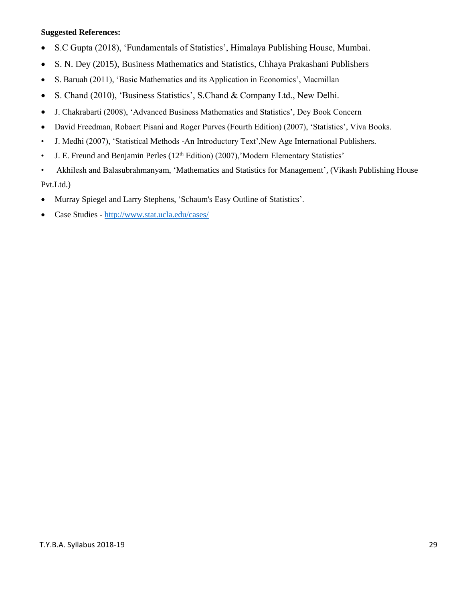#### **Suggested References:**

- S.C Gupta (2018), 'Fundamentals of Statistics', Himalaya Publishing House, Mumbai.
- S. N. Dey (2015), Business Mathematics and Statistics, Chhaya Prakashani Publishers
- S. Baruah (2011), 'Basic Mathematics and its Application in Economics', Macmillan
- S. Chand (2010), 'Business Statistics', S.Chand & Company Ltd., New Delhi.
- J. Chakrabarti (2008), 'Advanced Business Mathematics and Statistics', Dey Book Concern
- David Freedman, Robaert Pisani and Roger Purves (Fourth Edition) (2007), 'Statistics', Viva Books.
- J. Medhi (2007), 'Statistical Methods -An Introductory Text',New Age International Publishers.
- J. E. Freund and Benjamin Perles  $(12<sup>th</sup> Edition)$   $(2007)$ , 'Modern Elementary Statistics'
- Akhilesh and Balasubrahmanyam, 'Mathematics and Statistics for Management', (Vikash Publishing House

Pvt.Ltd.)

- Murray Spiegel and Larry Stephens, 'Schaum's Easy Outline of Statistics'.
- Case Studies http://www.stat.ucla.edu/cases/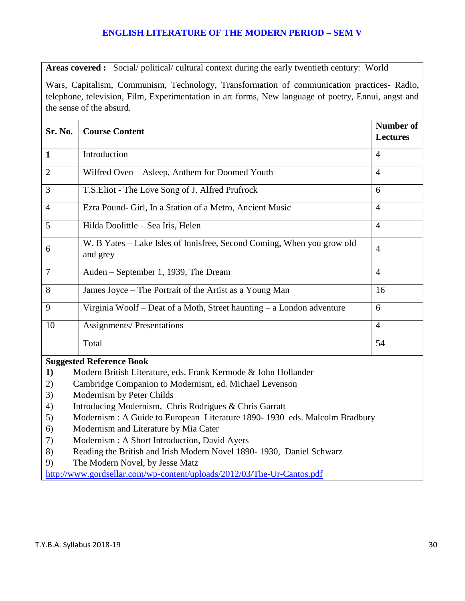### **ENGLISH LITERATURE OF THE MODERN PERIOD – SEM V**

**Areas covered :** Social/ political/ cultural context during the early twentieth century: World

Wars, Capitalism, Communism, Technology, Transformation of communication practices- Radio, telephone, television, Film, Experimentation in art forms, New language of poetry, Ennui, angst and the sense of the absurd.

| Sr. No.        | <b>Course Content</b>                                                                                                                                                                                                                                                                             | Number of<br><b>Lectures</b> |
|----------------|---------------------------------------------------------------------------------------------------------------------------------------------------------------------------------------------------------------------------------------------------------------------------------------------------|------------------------------|
| $\mathbf{1}$   | Introduction                                                                                                                                                                                                                                                                                      | $\overline{4}$               |
| 2              | Wilfred Oven - Asleep, Anthem for Doomed Youth                                                                                                                                                                                                                                                    | $\overline{4}$               |
| 3              | T.S. Eliot - The Love Song of J. Alfred Prufrock                                                                                                                                                                                                                                                  | 6                            |
| $\overline{4}$ | Ezra Pound- Girl, In a Station of a Metro, Ancient Music                                                                                                                                                                                                                                          | $\overline{4}$               |
| 5              | Hilda Doolittle – Sea Iris, Helen                                                                                                                                                                                                                                                                 | $\overline{4}$               |
| 6              | W. B Yates – Lake Isles of Innisfree, Second Coming, When you grow old<br>and grey                                                                                                                                                                                                                | $\overline{4}$               |
| $\overline{7}$ | Auden – September 1, 1939, The Dream                                                                                                                                                                                                                                                              | $\overline{4}$               |
| 8              | James Joyce – The Portrait of the Artist as a Young Man                                                                                                                                                                                                                                           | 16                           |
| 9              | Virginia Woolf – Deat of a Moth, Street haunting – a London adventure                                                                                                                                                                                                                             | 6                            |
| 10             | <b>Assignments/Presentations</b>                                                                                                                                                                                                                                                                  | $\overline{4}$               |
|                | Total                                                                                                                                                                                                                                                                                             | 54                           |
|                | <b>Suggested Reference Book</b>                                                                                                                                                                                                                                                                   |                              |
|                | $\mathbf{A}$ and $\mathbf{A}$ and $\mathbf{B}$ and $\mathbf{B}$ is the set of $\mathbf{B}$ and $\mathbf{B}$ and $\mathbf{B}$ and $\mathbf{B}$ and $\mathbf{B}$ and $\mathbf{B}$ and $\mathbf{B}$ and $\mathbf{B}$ and $\mathbf{B}$ and $\mathbf{B}$ and $\mathbf{B}$ and $\mathbf{B}$ and $\math$ |                              |

- **1)** Modern British Literature, eds. Frank Kermode & John Hollander
- 2) Cambridge Companion to Modernism, ed. Michael Levenson
- 3) Modernism by Peter Childs
- 4) Introducing Modernism, Chris Rodrigues & Chris Garratt
- 5) Modernism : A Guide to European Literature 1890- 1930 eds. Malcolm Bradbury
- 6) Modernism and Literature by Mia Cater
- 7) Modernism : A Short Introduction, David Ayers
- 8) Reading the British and Irish Modern Novel 1890- 1930, Daniel Schwarz
- 9) The Modern Novel, by Jesse Matz

<http://www.gordsellar.com/wp-content/uploads/2012/03/The-Ur-Cantos.pdf>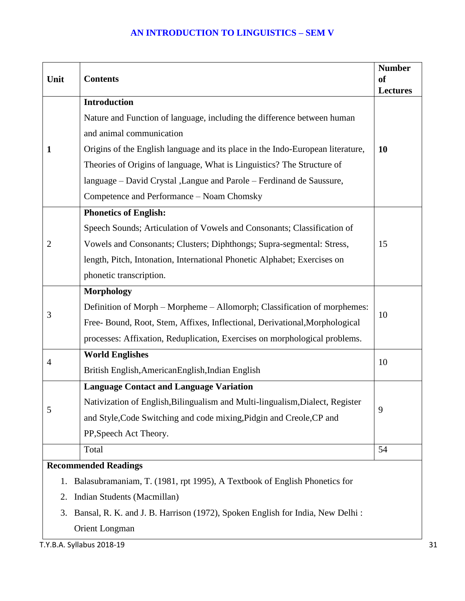## **AN INTRODUCTION TO LINGUISTICS – SEM V**

| Unit                                                                                | <b>Contents</b>                                                                | <b>Number</b><br><sub>of</sub><br><b>Lectures</b> |  |
|-------------------------------------------------------------------------------------|--------------------------------------------------------------------------------|---------------------------------------------------|--|
|                                                                                     | <b>Introduction</b>                                                            |                                                   |  |
|                                                                                     | Nature and Function of language, including the difference between human        |                                                   |  |
|                                                                                     | and animal communication                                                       |                                                   |  |
| 1                                                                                   | Origins of the English language and its place in the Indo-European literature, | <b>10</b>                                         |  |
|                                                                                     | Theories of Origins of language, What is Linguistics? The Structure of         |                                                   |  |
|                                                                                     | language – David Crystal , Langue and Parole – Ferdinand de Saussure,          |                                                   |  |
|                                                                                     | Competence and Performance - Noam Chomsky                                      |                                                   |  |
|                                                                                     | <b>Phonetics of English:</b>                                                   |                                                   |  |
|                                                                                     | Speech Sounds; Articulation of Vowels and Consonants; Classification of        |                                                   |  |
| 2                                                                                   | Vowels and Consonants; Clusters; Diphthongs; Supra-segmental: Stress,          | 15                                                |  |
|                                                                                     | length, Pitch, Intonation, International Phonetic Alphabet; Exercises on       |                                                   |  |
|                                                                                     | phonetic transcription.                                                        |                                                   |  |
|                                                                                     | <b>Morphology</b>                                                              |                                                   |  |
| 3                                                                                   | Definition of Morph - Morpheme - Allomorph; Classification of morphemes:       |                                                   |  |
|                                                                                     | Free-Bound, Root, Stem, Affixes, Inflectional, Derivational, Morphological     | 10                                                |  |
|                                                                                     | processes: Affixation, Reduplication, Exercises on morphological problems.     |                                                   |  |
| 4                                                                                   | <b>World Englishes</b>                                                         | 10                                                |  |
|                                                                                     | British English, American English, Indian English                              |                                                   |  |
|                                                                                     | <b>Language Contact and Language Variation</b>                                 |                                                   |  |
| 5                                                                                   | Nativization of English, Bilingualism and Multi-lingualism, Dialect, Register  | 9                                                 |  |
|                                                                                     | and Style, Code Switching and code mixing, Pidgin and Creole, CP and           |                                                   |  |
|                                                                                     | PP, Speech Act Theory.                                                         |                                                   |  |
|                                                                                     | Total                                                                          | 54                                                |  |
|                                                                                     | <b>Recommended Readings</b>                                                    |                                                   |  |
| 1.                                                                                  | Balasubramaniam, T. (1981, rpt 1995), A Textbook of English Phonetics for      |                                                   |  |
| Indian Students (Macmillan)<br>2.                                                   |                                                                                |                                                   |  |
| Bansal, R. K. and J. B. Harrison (1972), Spoken English for India, New Delhi:<br>3. |                                                                                |                                                   |  |
| Orient Longman                                                                      |                                                                                |                                                   |  |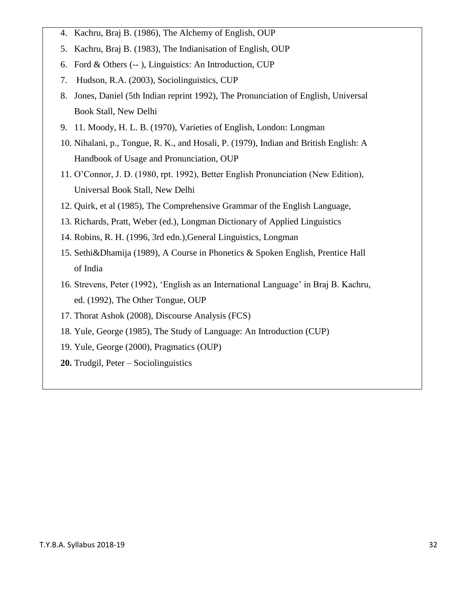- 4. Kachru, Braj B. (1986), The Alchemy of English, OUP
- 5. Kachru, Braj B. (1983), The Indianisation of English, OUP
- 6. Ford & Others (-- ), Linguistics: An Introduction, CUP
- 7. Hudson, R.A. (2003), Sociolinguistics, CUP
- 8. Jones, Daniel (5th Indian reprint 1992), The Pronunciation of English, Universal Book Stall, New Delhi
- 9. 11. Moody, H. L. B. (1970), Varieties of English, London: Longman
- 10. Nihalani, p., Tongue, R. K., and Hosali, P. (1979), Indian and British English: A Handbook of Usage and Pronunciation, OUP
- 11. O'Connor, J. D. (1980, rpt. 1992), Better English Pronunciation (New Edition), Universal Book Stall, New Delhi
- 12. Quirk, et al (1985), The Comprehensive Grammar of the English Language,
- 13. Richards, Pratt, Weber (ed.), Longman Dictionary of Applied Linguistics
- 14. Robins, R. H. (1996, 3rd edn.),General Linguistics, Longman
- 15. Sethi&Dhamija (1989), A Course in Phonetics & Spoken English, Prentice Hall of India
- 16. Strevens, Peter (1992), 'English as an International Language' in Braj B. Kachru, ed. (1992), The Other Tongue, OUP
- 17. Thorat Ashok (2008), Discourse Analysis (FCS)
- 18. Yule, George (1985), The Study of Language: An Introduction (CUP)
- 19. Yule, George (2000), Pragmatics (OUP)
- **20.** Trudgil, Peter Sociolinguistics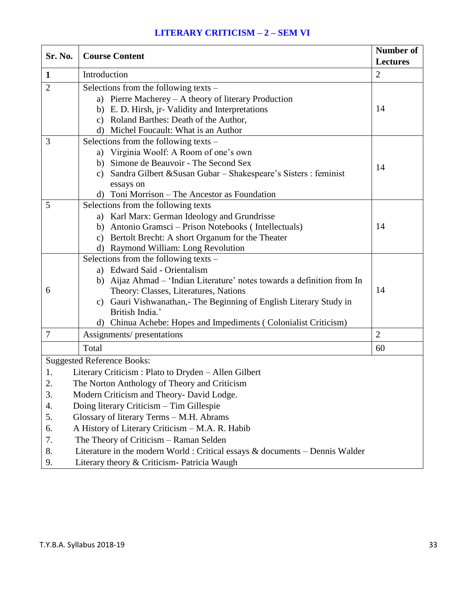## **LITERARY CRITICISM – 2 – SEM VI**

| Sr. No.        | <b>Course Content</b>                                                                 |                 |
|----------------|---------------------------------------------------------------------------------------|-----------------|
|                |                                                                                       | <b>Lectures</b> |
| $\mathbf{1}$   | Introduction                                                                          | $\overline{2}$  |
| $\overline{2}$ | Selections from the following texts –                                                 |                 |
|                | a) Pierre Macherey - A theory of literary Production                                  |                 |
|                | b) E. D. Hirsh, jr- Validity and Interpretations                                      | 14              |
|                | c) Roland Barthes: Death of the Author,                                               |                 |
|                | d) Michel Foucault: What is an Author                                                 |                 |
| 3              | Selections from the following texts -                                                 |                 |
|                | a) Virginia Woolf: A Room of one's own                                                |                 |
|                | b) Simone de Beauvoir - The Second Sex                                                | 14              |
|                | c) Sandra Gilbert & Susan Gubar - Shakespeare's Sisters : feminist                    |                 |
|                | essays on                                                                             |                 |
|                | d) Toni Morrison – The Ancestor as Foundation                                         |                 |
| 5              | Selections from the following texts                                                   |                 |
|                | a) Karl Marx: German Ideology and Grundrisse                                          |                 |
|                | b) Antonio Gramsci – Prison Notebooks (Intellectuals)                                 | 14              |
|                | c) Bertolt Brecht: A short Organum for the Theater                                    |                 |
|                | d) Raymond William: Long Revolution                                                   |                 |
|                | Selections from the following texts –                                                 |                 |
|                | a) Edward Said - Orientalism                                                          |                 |
|                | b) Aijaz Ahmad - 'Indian Literature' notes towards a definition from In               |                 |
| 6              | Theory: Classes, Literatures, Nations                                                 | 14              |
|                | c) Gauri Vishwanathan,- The Beginning of English Literary Study in<br>British India.' |                 |
|                |                                                                                       |                 |
|                | d) Chinua Achebe: Hopes and Impediments (Colonialist Criticism)                       |                 |
| 7              | Assignments/ presentations                                                            | $\overline{2}$  |
|                | Total                                                                                 | 60              |
|                | <b>Suggested Reference Books:</b>                                                     |                 |
| 1.             | Literary Criticism: Plato to Dryden - Allen Gilbert                                   |                 |
| 2              | The Norton Anthology of Theory and Criticism                                          |                 |
| 3.             | Modern Criticism and Theory- David Lodge.                                             |                 |
| 4.             | Doing literary Criticism - Tim Gillespie                                              |                 |
| 5.             | Glossary of literary Terms - M.H. Abrams                                              |                 |
| 6.             | A History of Literary Criticism - M.A. R. Habib                                       |                 |
| 7.             | The Theory of Criticism - Raman Selden                                                |                 |
| 8.             | Literature in the modern World : Critical essays $\&$ documents – Dennis Walder       |                 |
| 9.             | Literary theory & Criticism- Patricia Waugh                                           |                 |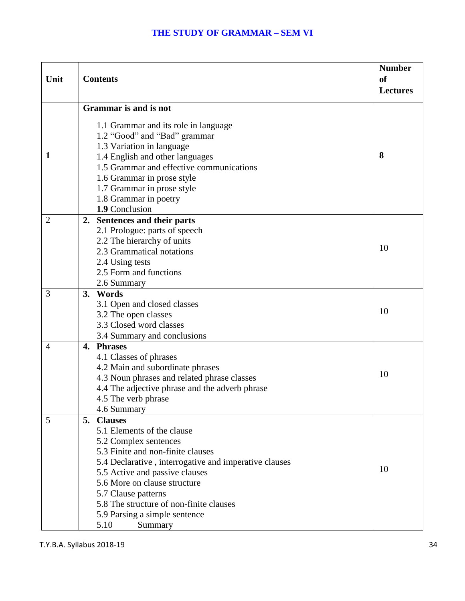### **THE STUDY OF GRAMMAR – SEM VI**

| Unit           | <b>Contents</b>                                                                                                                                                                                                                                                                                                                                                   | <b>Number</b><br>of<br><b>Lectures</b> |
|----------------|-------------------------------------------------------------------------------------------------------------------------------------------------------------------------------------------------------------------------------------------------------------------------------------------------------------------------------------------------------------------|----------------------------------------|
|                |                                                                                                                                                                                                                                                                                                                                                                   |                                        |
|                | <b>Grammar</b> is and is not                                                                                                                                                                                                                                                                                                                                      |                                        |
| 1              | 1.1 Grammar and its role in language<br>1.2 "Good" and "Bad" grammar<br>1.3 Variation in language<br>1.4 English and other languages<br>1.5 Grammar and effective communications<br>1.6 Grammar in prose style<br>1.7 Grammar in prose style                                                                                                                      | 8                                      |
|                | 1.8 Grammar in poetry                                                                                                                                                                                                                                                                                                                                             |                                        |
|                | 1.9 Conclusion                                                                                                                                                                                                                                                                                                                                                    |                                        |
| $\overline{2}$ | Sentences and their parts<br>2.<br>2.1 Prologue: parts of speech<br>2.2 The hierarchy of units<br>2.3 Grammatical notations<br>2.4 Using tests<br>2.5 Form and functions<br>2.6 Summary                                                                                                                                                                           | 10                                     |
| 3              | 3. Words<br>3.1 Open and closed classes<br>3.2 The open classes<br>3.3 Closed word classes<br>3.4 Summary and conclusions                                                                                                                                                                                                                                         | 10                                     |
| $\overline{4}$ | 4. Phrases<br>4.1 Classes of phrases<br>4.2 Main and subordinate phrases<br>4.3 Noun phrases and related phrase classes<br>4.4 The adjective phrase and the adverb phrase<br>4.5 The verb phrase<br>4.6 Summary                                                                                                                                                   | 10                                     |
| 5              | 5.<br><b>Clauses</b><br>5.1 Elements of the clause<br>5.2 Complex sentences<br>5.3 Finite and non-finite clauses<br>5.4 Declarative, interrogative and imperative clauses<br>5.5 Active and passive clauses<br>5.6 More on clause structure<br>5.7 Clause patterns<br>5.8 The structure of non-finite clauses<br>5.9 Parsing a simple sentence<br>5.10<br>Summary | 10                                     |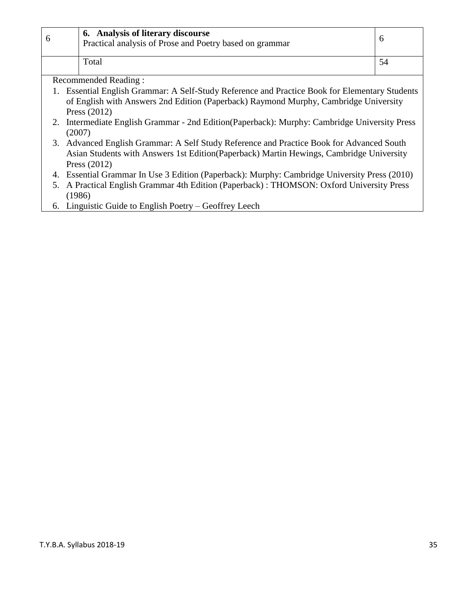| 6. Analysis of literary discourse<br>Practical analysis of Prose and Poetry based on grammar |  |
|----------------------------------------------------------------------------------------------|--|
| Total                                                                                        |  |

Recommended Reading :

- 1. Essential English Grammar: A Self-Study Reference and Practice Book for Elementary Students of English with Answers 2nd Edition (Paperback) Raymond Murphy, Cambridge University Press (2012)
- 2. Intermediate English Grammar 2nd Edition(Paperback): Murphy: Cambridge University Press (2007)
- 3. Advanced English Grammar: A Self Study Reference and Practice Book for Advanced South Asian Students with Answers 1st Edition(Paperback) Martin Hewings, Cambridge University Press (2012)
- 4. Essential Grammar In Use 3 Edition (Paperback): Murphy: Cambridge University Press (2010)
- 5. A Practical English Grammar 4th Edition (Paperback) : THOMSON: Oxford University Press (1986)
- 6. Linguistic Guide to English Poetry Geoffrey Leech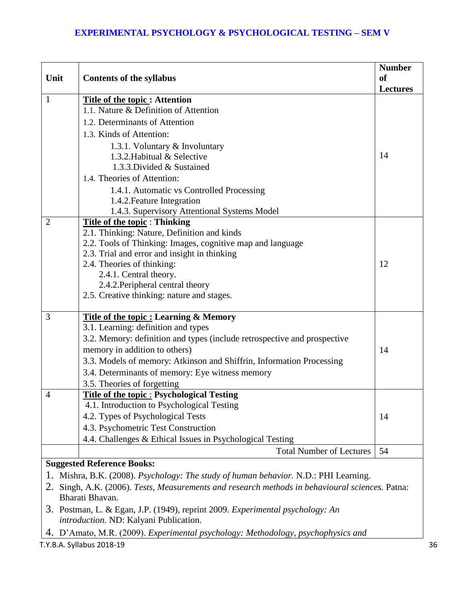### **EXPERIMENTAL PSYCHOLOGY & PSYCHOLOGICAL TESTING – SEM V**

|                                                                                                    |                                                                          | <b>Number</b>   |
|----------------------------------------------------------------------------------------------------|--------------------------------------------------------------------------|-----------------|
| Unit                                                                                               | <b>Contents of the syllabus</b>                                          | <b>of</b>       |
|                                                                                                    |                                                                          | <b>Lectures</b> |
| $\mathbf{1}$                                                                                       | <b>Title of the topic: Attention</b>                                     |                 |
|                                                                                                    | 1.1. Nature & Definition of Attention                                    |                 |
|                                                                                                    | 1.2. Determinants of Attention                                           |                 |
|                                                                                                    | 1.3. Kinds of Attention:                                                 |                 |
|                                                                                                    | 1.3.1. Voluntary & Involuntary                                           |                 |
|                                                                                                    | 1.3.2. Habitual & Selective                                              | 14              |
|                                                                                                    | 1.3.3. Divided & Sustained                                               |                 |
|                                                                                                    | 1.4. Theories of Attention:                                              |                 |
|                                                                                                    | 1.4.1. Automatic vs Controlled Processing                                |                 |
|                                                                                                    | 1.4.2. Feature Integration                                               |                 |
|                                                                                                    | 1.4.3. Supervisory Attentional Systems Model                             |                 |
| $\overline{2}$                                                                                     | <b>Title of the topic: Thinking</b>                                      |                 |
|                                                                                                    | 2.1. Thinking: Nature, Definition and kinds                              |                 |
|                                                                                                    | 2.2. Tools of Thinking: Images, cognitive map and language               |                 |
|                                                                                                    | 2.3. Trial and error and insight in thinking                             |                 |
|                                                                                                    | 2.4. Theories of thinking:                                               | 12              |
|                                                                                                    | 2.4.1. Central theory.<br>2.4.2. Peripheral central theory               |                 |
|                                                                                                    | 2.5. Creative thinking: nature and stages.                               |                 |
|                                                                                                    |                                                                          |                 |
| 3                                                                                                  | <b>Title of the topic: Learning &amp; Memory</b>                         |                 |
|                                                                                                    | 3.1. Learning: definition and types                                      |                 |
|                                                                                                    | 3.2. Memory: definition and types (include retrospective and prospective |                 |
|                                                                                                    | memory in addition to others)                                            | 14              |
|                                                                                                    | 3.3. Models of memory: Atkinson and Shiffrin, Information Processing     |                 |
|                                                                                                    | 3.4. Determinants of memory: Eye witness memory                          |                 |
|                                                                                                    | 3.5. Theories of forgetting                                              |                 |
| 4                                                                                                  | <b>Title of the topic: Psychological Testing</b>                         |                 |
|                                                                                                    | 4.1. Introduction to Psychological Testing                               |                 |
|                                                                                                    | 4.2. Types of Psychological Tests                                        | 14              |
|                                                                                                    | 4.3. Psychometric Test Construction                                      |                 |
|                                                                                                    | 4.4. Challenges & Ethical Issues in Psychological Testing                |                 |
|                                                                                                    | <b>Total Number of Lectures</b>                                          | 54              |
|                                                                                                    | <b>Suggested Reference Books:</b>                                        |                 |
| Mishra, B.K. (2008). <i>Psychology: The study of human behavior</i> . N.D.: PHI Learning.          |                                                                          |                 |
| Singh, A.K. (2006). Tests, Measurements and research methods in behavioural sciences. Patna:<br>2. |                                                                          |                 |
|                                                                                                    | Bharati Bhavan.                                                          |                 |

<sup>3.</sup> Postman, L. & Egan, J.P. (1949), reprint 2009. *Experimental psychology: An introduction.* ND: Kalyani Publication.

4. D'Amato, M.R. (2009). *Experimental psychology: Methodology, psychophysics and*

T.Y.B.A. Syllabus 2018-19 36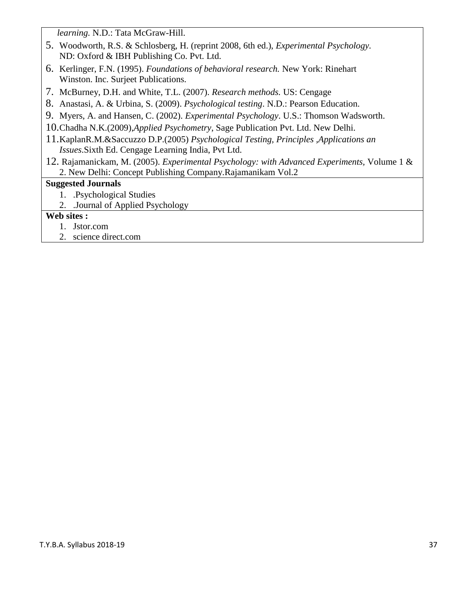*learning.* N.D.: Tata McGraw-Hill.

- 5. Woodworth, R.S. & Schlosberg, H. (reprint 2008, 6th ed.), *Experimental Psychology.* ND: Oxford & IBH Publishing Co. Pvt. Ltd.
- 6. Kerlinger, F.N. (1995). *Foundations of behavioral research.* New York: Rinehart Winston. Inc. Surjeet Publications.
- 7. McBurney, D.H. and White, T.L. (2007). *Research methods.* US: Cengage
- 8. Anastasi, A. & Urbina, S. (2009). *Psychological testing*. N.D.: Pearson Education.
- 9. Myers, A. and Hansen, C. (2002). *Experimental Psychology*. U.S.: Thomson Wadsworth.
- 10.Chadha N.K.(2009),*Applied Psychometry*, Sage Publication Pvt. Ltd. New Delhi.
- 11.KaplanR.M.&Saccuzzo D.P.(2005) *Psychological Testing, Principles ,Applications an Issues*.Sixth Ed. Cengage Learning India, Pvt Ltd.
- 12. Rajamanickam, M. (2005). *Experimental Psychology: with Advanced Experiments,* Volume 1 & 2. New Delhi: Concept Publishing Company.Rajamanikam Vol.2

### **Suggested Journals**

- 1. .Psychological Studies
- 2. .Journal of Applied Psychology

### **Web sites :**

- 1. Jstor.com
- 2. science direct.com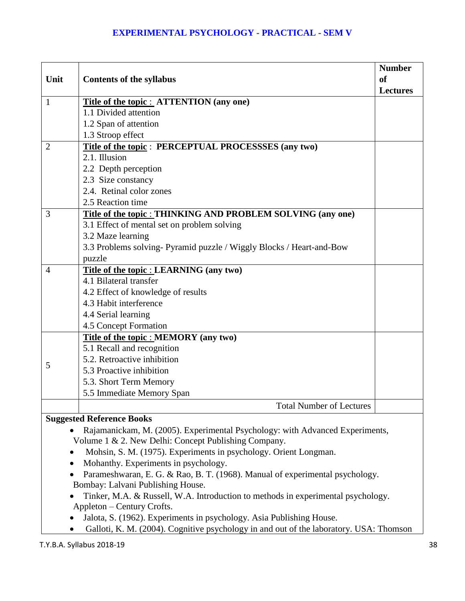## **EXPERIMENTAL PSYCHOLOGY - PRACTICAL - SEM V**

| Unit           | <b>Contents of the syllabus</b>                                     | <b>Number</b><br>of<br><b>Lectures</b> |
|----------------|---------------------------------------------------------------------|----------------------------------------|
| $\mathbf{1}$   | Title of the topic : ATTENTION (any one)                            |                                        |
|                | 1.1 Divided attention                                               |                                        |
|                | 1.2 Span of attention                                               |                                        |
|                | 1.3 Stroop effect                                                   |                                        |
| $\overline{2}$ | Title of the topic: PERCEPTUAL PROCESSSES (any two)                 |                                        |
|                | 2.1. Illusion                                                       |                                        |
|                | 2.2 Depth perception                                                |                                        |
|                | 2.3 Size constancy                                                  |                                        |
|                | 2.4. Retinal color zones                                            |                                        |
|                | 2.5 Reaction time                                                   |                                        |
| 3              | Title of the topic : THINKING AND PROBLEM SOLVING (any one)         |                                        |
|                | 3.1 Effect of mental set on problem solving                         |                                        |
|                | 3.2 Maze learning                                                   |                                        |
|                | 3.3 Problems solving-Pyramid puzzle / Wiggly Blocks / Heart-and-Bow |                                        |
|                | puzzle                                                              |                                        |
| $\overline{4}$ | Title of the topic : LEARNING (any two)                             |                                        |
|                | 4.1 Bilateral transfer                                              |                                        |
|                | 4.2 Effect of knowledge of results                                  |                                        |
|                | 4.3 Habit interference                                              |                                        |
|                | 4.4 Serial learning                                                 |                                        |
|                | 4.5 Concept Formation                                               |                                        |
|                | Title of the topic : MEMORY (any two)                               |                                        |
|                | 5.1 Recall and recognition                                          |                                        |
| 5              | 5.2. Retroactive inhibition                                         |                                        |
|                | 5.3 Proactive inhibition                                            |                                        |
|                | 5.3. Short Term Memory                                              |                                        |
|                | 5.5 Immediate Memory Span                                           |                                        |
|                | <b>Total Number of Lectures</b>                                     |                                        |
|                | <b>Suggested Reference Books</b>                                    |                                        |

- Rajamanickam, M. (2005). Experimental Psychology: with Advanced Experiments, Volume 1 & 2. New Delhi: Concept Publishing Company.
- Mohsin, S. M. (1975). Experiments in psychology. Orient Longman.
- Mohanthy. Experiments in psychology.
- Parameshwaran, E. G. & Rao, B. T. (1968). Manual of experimental psychology. Bombay: Lalvani Publishing House.
- Tinker, M.A. & Russell, W.A. Introduction to methods in experimental psychology. Appleton – Century Crofts.
- Jalota, S. (1962). Experiments in psychology. Asia Publishing House.
- Galloti, K. M. (2004). Cognitive psychology in and out of the laboratory. USA: Thomson

T.Y.B.A. Syllabus 2018-19 38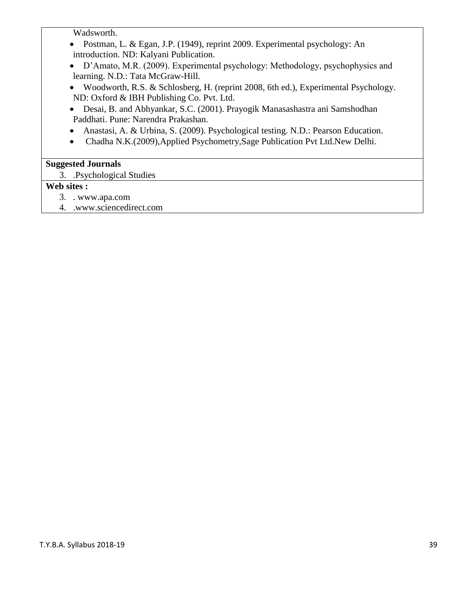Wadsworth.

- Postman, L. & Egan, J.P. (1949), reprint 2009. Experimental psychology: An introduction. ND: Kalyani Publication.
- D'Amato, M.R. (2009). Experimental psychology: Methodology, psychophysics and learning. N.D.: Tata McGraw-Hill.
- Woodworth, R.S. & Schlosberg, H. (reprint 2008, 6th ed.), Experimental Psychology. ND: Oxford & IBH Publishing Co. Pvt. Ltd.
- Desai, B. and Abhyankar, S.C. (2001). Prayogik Manasashastra ani Samshodhan Paddhati. Pune: Narendra Prakashan.
- Anastasi, A. & Urbina, S. (2009). Psychological testing. N.D.: Pearson Education.
- Chadha N.K.(2009),Applied Psychometry,Sage Publication Pvt Ltd.New Delhi.

## **Suggested Journals**

3. .Psychological Studies

## **Web sites :**

- 3. . www.apa.com
- 4. .www.sciencedirect.com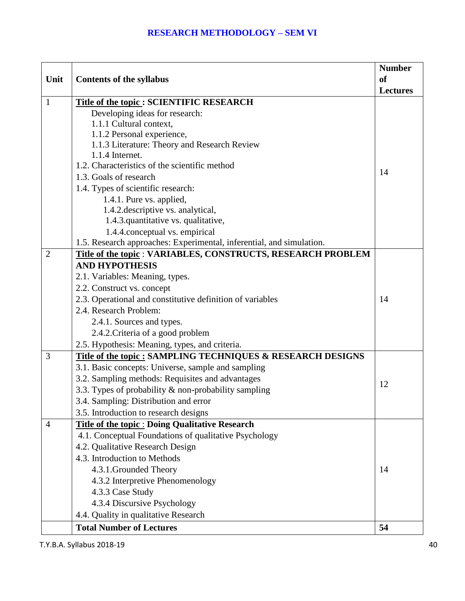|                |                                                                                       | <b>Number</b>   |
|----------------|---------------------------------------------------------------------------------------|-----------------|
| Unit           | <b>Contents of the syllabus</b>                                                       | <sub>of</sub>   |
|                |                                                                                       | <b>Lectures</b> |
| $\mathbf{1}$   | <b>Title of the topic: SCIENTIFIC RESEARCH</b>                                        |                 |
|                | Developing ideas for research:                                                        |                 |
|                | 1.1.1 Cultural context,                                                               |                 |
|                | 1.1.2 Personal experience,                                                            |                 |
|                | 1.1.3 Literature: Theory and Research Review                                          |                 |
|                | 1.1.4 Internet.                                                                       |                 |
|                | 1.2. Characteristics of the scientific method                                         | 14              |
|                | 1.3. Goals of research                                                                |                 |
|                | 1.4. Types of scientific research:                                                    |                 |
|                | 1.4.1. Pure vs. applied,                                                              |                 |
|                | 1.4.2. descriptive vs. analytical,                                                    |                 |
|                | 1.4.3. quantitative vs. qualitative,                                                  |                 |
|                | 1.4.4.conceptual vs. empirical                                                        |                 |
| $\overline{2}$ | 1.5. Research approaches: Experimental, inferential, and simulation.                  |                 |
|                | Title of the topic : VARIABLES, CONSTRUCTS, RESEARCH PROBLEM<br><b>AND HYPOTHESIS</b> |                 |
|                |                                                                                       |                 |
|                | 2.1. Variables: Meaning, types.                                                       |                 |
|                | 2.2. Construct vs. concept                                                            | 14              |
|                | 2.3. Operational and constitutive definition of variables<br>2.4. Research Problem:   |                 |
|                |                                                                                       |                 |
|                | 2.4.1. Sources and types.                                                             |                 |
|                | 2.4.2. Criteria of a good problem                                                     |                 |
|                | 2.5. Hypothesis: Meaning, types, and criteria.                                        |                 |
| 3              | Title of the topic: SAMPLING TECHNIQUES & RESEARCH DESIGNS                            |                 |
|                | 3.1. Basic concepts: Universe, sample and sampling                                    |                 |
|                | 3.2. Sampling methods: Requisites and advantages                                      | 12              |
|                | 3.3. Types of probability & non-probability sampling                                  |                 |
|                | 3.4. Sampling: Distribution and error                                                 |                 |
|                | 3.5. Introduction to research designs                                                 |                 |
| $\overline{4}$ | <b>Title of the topic: Doing Qualitative Research</b>                                 |                 |
|                | 4.1. Conceptual Foundations of qualitative Psychology                                 |                 |
|                | 4.2. Qualitative Research Design                                                      |                 |
|                | 4.3. Introduction to Methods                                                          |                 |
|                | 4.3.1. Grounded Theory                                                                | 14              |
|                | 4.3.2 Interpretive Phenomenology                                                      |                 |
|                | 4.3.3 Case Study                                                                      |                 |
|                | 4.3.4 Discursive Psychology                                                           |                 |
|                | 4.4. Quality in qualitative Research                                                  |                 |
|                | <b>Total Number of Lectures</b>                                                       | 54              |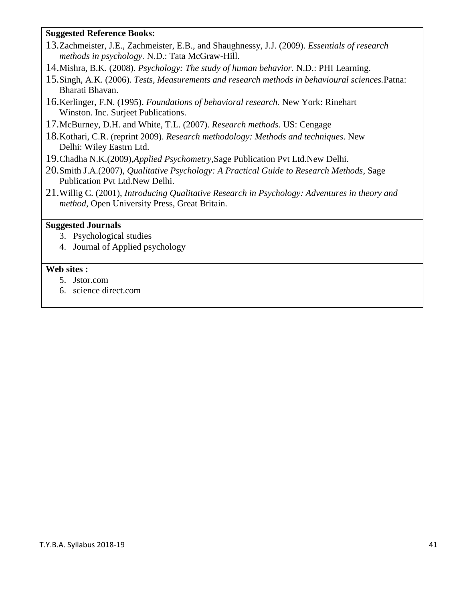### **Suggested Reference Books:**

- 13.Zachmeister, J.E., Zachmeister, E.B., and Shaughnessy, J.J. (2009). *Essentials of research methods in psychology.* N.D.: Tata McGraw-Hill.
- 14.Mishra, B.K. (2008). *Psychology: The study of human behavior.* N.D.: PHI Learning.
- 15.Singh, A.K. (2006). *Tests, Measurements and research methods in behavioural sciences.*Patna: Bharati Bhavan.
- 16.Kerlinger, F.N. (1995). *Foundations of behavioral research.* New York: Rinehart Winston. Inc. Surjeet Publications.
- 17.McBurney, D.H. and White, T.L. (2007). *Research methods.* US: Cengage
- 18.Kothari, C.R. (reprint 2009). *Research methodology: Methods and techniques*. New Delhi: Wiley Eastrn Ltd.
- 19.Chadha N.K.(2009),*Applied Psychometry*,Sage Publication Pvt Ltd.New Delhi.
- 20.Smith J.A.(2007), *Qualitative Psychology: A Practical Guide to Research Methods*, Sage Publication Pvt Ltd.New Delhi.
- 21.Willig C. (2001), *Introducing Qualitative Research in Psychology: Adventures in theory and method*, Open University Press, Great Britain.

### **Suggested Journals**

- 3. Psychological studies
- 4. Journal of Applied psychology

### **Web sites :**

- 5. Jstor.com
- 6. science direct.com